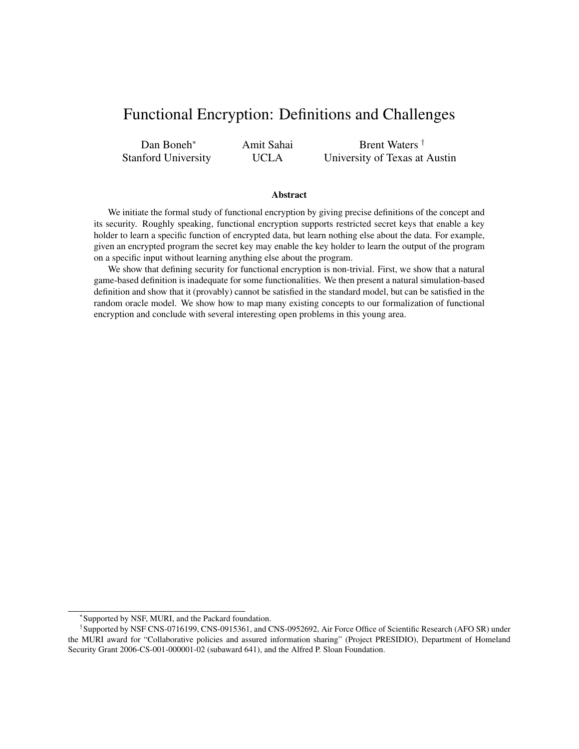# Functional Encryption: Definitions and Challenges

Dan Boneh<sup>∗</sup> Stanford University Amit Sahai UCLA

Brent Waters † University of Texas at Austin

#### Abstract

We initiate the formal study of functional encryption by giving precise definitions of the concept and its security. Roughly speaking, functional encryption supports restricted secret keys that enable a key holder to learn a specific function of encrypted data, but learn nothing else about the data. For example, given an encrypted program the secret key may enable the key holder to learn the output of the program on a specific input without learning anything else about the program.

We show that defining security for functional encryption is non-trivial. First, we show that a natural game-based definition is inadequate for some functionalities. We then present a natural simulation-based definition and show that it (provably) cannot be satisfied in the standard model, but can be satisfied in the random oracle model. We show how to map many existing concepts to our formalization of functional encryption and conclude with several interesting open problems in this young area.

<sup>∗</sup> Supported by NSF, MURI, and the Packard foundation.

<sup>†</sup> Supported by NSF CNS-0716199, CNS-0915361, and CNS-0952692, Air Force Office of Scientific Research (AFO SR) under the MURI award for "Collaborative policies and assured information sharing" (Project PRESIDIO), Department of Homeland Security Grant 2006-CS-001-000001-02 (subaward 641), and the Alfred P. Sloan Foundation.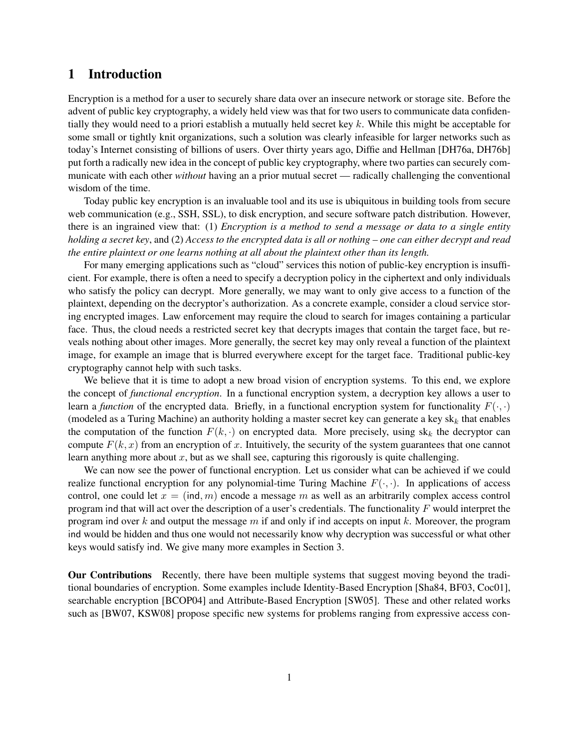## 1 Introduction

Encryption is a method for a user to securely share data over an insecure network or storage site. Before the advent of public key cryptography, a widely held view was that for two users to communicate data confidentially they would need to a priori establish a mutually held secret key  $k$ . While this might be acceptable for some small or tightly knit organizations, such a solution was clearly infeasible for larger networks such as today's Internet consisting of billions of users. Over thirty years ago, Diffie and Hellman [\[DH76a,](#page-17-0) [DH76b\]](#page-17-1) put forth a radically new idea in the concept of public key cryptography, where two parties can securely communicate with each other *without* having an a prior mutual secret — radically challenging the conventional wisdom of the time.

Today public key encryption is an invaluable tool and its use is ubiquitous in building tools from secure web communication (e.g., SSH, SSL), to disk encryption, and secure software patch distribution. However, there is an ingrained view that: (1) *Encryption is a method to send a message or data to a single entity holding a secret key*, and (2) *Access to the encrypted data is all or nothing – one can either decrypt and read the entire plaintext or one learns nothing at all about the plaintext other than its length.*

For many emerging applications such as "cloud" services this notion of public-key encryption is insufficient. For example, there is often a need to specify a decryption policy in the ciphertext and only individuals who satisfy the policy can decrypt. More generally, we may want to only give access to a function of the plaintext, depending on the decryptor's authorization. As a concrete example, consider a cloud service storing encrypted images. Law enforcement may require the cloud to search for images containing a particular face. Thus, the cloud needs a restricted secret key that decrypts images that contain the target face, but reveals nothing about other images. More generally, the secret key may only reveal a function of the plaintext image, for example an image that is blurred everywhere except for the target face. Traditional public-key cryptography cannot help with such tasks.

We believe that it is time to adopt a new broad vision of encryption systems. To this end, we explore the concept of *functional encryption*. In a functional encryption system, a decryption key allows a user to learn a *function* of the encrypted data. Briefly, in a functional encryption system for functionality  $F(\cdot, \cdot)$ (modeled as a Turing Machine) an authority holding a master secret key can generate a key  $sk_k$  that enables the computation of the function  $F(k, \cdot)$  on encrypted data. More precisely, using sk<sub>k</sub> the decryptor can compute  $F(k, x)$  from an encryption of x. Intuitively, the security of the system guarantees that one cannot learn anything more about  $x$ , but as we shall see, capturing this rigorously is quite challenging.

We can now see the power of functional encryption. Let us consider what can be achieved if we could realize functional encryption for any polynomial-time Turing Machine  $F(\cdot, \cdot)$ . In applications of access control, one could let  $x = (ind, m)$  encode a message m as well as an arbitrarily complex access control program ind that will act over the description of a user's credentials. The functionality  $F$  would interpret the program ind over k and output the message m if and only if ind accepts on input k. Moreover, the program ind would be hidden and thus one would not necessarily know why decryption was successful or what other keys would satisfy ind. We give many more examples in Section [3.](#page-4-0)

Our Contributions Recently, there have been multiple systems that suggest moving beyond the traditional boundaries of encryption. Some examples include Identity-Based Encryption [\[Sha84,](#page-19-0) [BF03,](#page-16-0) [Coc01\]](#page-17-2), searchable encryption [\[BCOP04\]](#page-16-1) and Attribute-Based Encryption [\[SW05\]](#page-19-1). These and other related works such as [\[BW07,](#page-17-3) [KSW08\]](#page-18-0) propose specific new systems for problems ranging from expressive access con-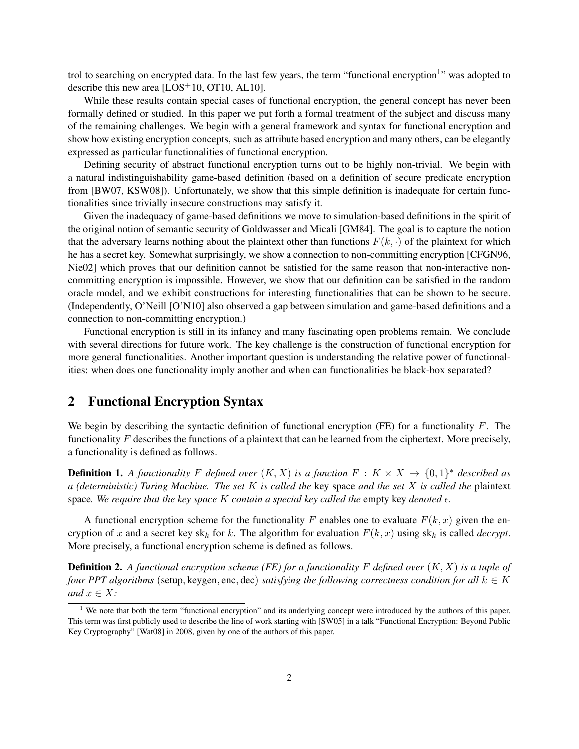trol to searching on encrypted data. In the last few years, the term "functional encryption<sup>[1](#page-2-0)</sup>" was adopted to describe this new area [\[LOS](#page-18-1)<sup>+</sup>10, [OT10,](#page-18-2) [AL10\]](#page-16-2).

While these results contain special cases of functional encryption, the general concept has never been formally defined or studied. In this paper we put forth a formal treatment of the subject and discuss many of the remaining challenges. We begin with a general framework and syntax for functional encryption and show how existing encryption concepts, such as attribute based encryption and many others, can be elegantly expressed as particular functionalities of functional encryption.

Defining security of abstract functional encryption turns out to be highly non-trivial. We begin with a natural indistinguishability game-based definition (based on a definition of secure predicate encryption from [\[BW07,](#page-17-3) [KSW08\]](#page-18-0)). Unfortunately, we show that this simple definition is inadequate for certain functionalities since trivially insecure constructions may satisfy it.

Given the inadequacy of game-based definitions we move to simulation-based definitions in the spirit of the original notion of semantic security of Goldwasser and Micali [\[GM84\]](#page-18-3). The goal is to capture the notion that the adversary learns nothing about the plaintext other than functions  $F(k, \cdot)$  of the plaintext for which he has a secret key. Somewhat surprisingly, we show a connection to non-committing encryption [\[CFGN96,](#page-17-4) [Nie02\]](#page-18-4) which proves that our definition cannot be satisfied for the same reason that non-interactive noncommitting encryption is impossible. However, we show that our definition can be satisfied in the random oracle model, and we exhibit constructions for interesting functionalities that can be shown to be secure. (Independently, O'Neill [\[O'N10\]](#page-18-5) also observed a gap between simulation and game-based definitions and a connection to non-committing encryption.)

Functional encryption is still in its infancy and many fascinating open problems remain. We conclude with several directions for future work. The key challenge is the construction of functional encryption for more general functionalities. Another important question is understanding the relative power of functionalities: when does one functionality imply another and when can functionalities be black-box separated?

## <span id="page-2-1"></span>2 Functional Encryption Syntax

We begin by describing the syntactic definition of functional encryption (FE) for a functionality  $F$ . The functionality F describes the functions of a plaintext that can be learned from the ciphertext. More precisely, a functionality is defined as follows.

**Definition 1.** A functionality F defined over  $(K, X)$  is a function  $F : K \times X \to \{0, 1\}^*$  described as *a (deterministic) Turing Machine. The set* K *is called the* key space *and the set* X *is called the* plaintext space*. We require that the key space* K *contain a special key called the* empty key *denoted .*

A functional encryption scheme for the functionality F enables one to evaluate  $F(k, x)$  given the encryption of x and a secret key sk<sub>k</sub> for k. The algorithm for evaluation  $F(k, x)$  using sk<sub>k</sub> is called *decrypt*. More precisely, a functional encryption scheme is defined as follows.

Definition 2. *A functional encryption scheme (FE) for a functionality* F *defined over* (K, X) *is a tuple of four PPT algorithms* (setup, keygen, enc, dec) *satisfying the following correctness condition for all*  $k \in K$ *and*  $x \in X$ *:* 

<span id="page-2-0"></span><sup>&</sup>lt;sup>1</sup> We note that both the term "functional encryption" and its underlying concept were introduced by the authors of this paper. This term was first publicly used to describe the line of work starting with [\[SW05\]](#page-19-1) in a talk "Functional Encryption: Beyond Public Key Cryptography" [\[Wat08\]](#page-19-2) in 2008, given by one of the authors of this paper.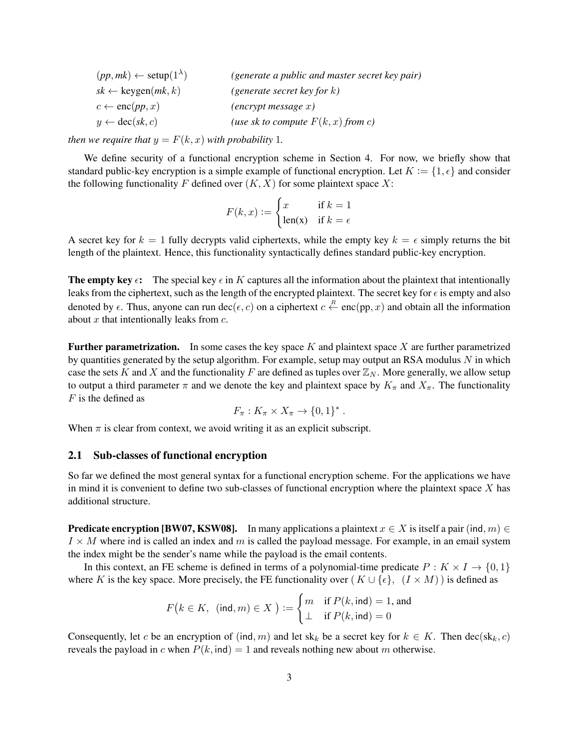| $(pp,mk) \leftarrow \text{setup}(1^{\lambda})$ | (generate a public and master secret key pair) |
|------------------------------------------------|------------------------------------------------|
| $sk \leftarrow \text{keygen}(mk, k)$           | (generate secret key for $k$ )                 |
| $c \leftarrow \text{enc}(pp, x)$               | $\left(\text{encrypt message } x\right)$       |
| $y \leftarrow \text{dec}(sk, c)$               | (use sk to compute $F(k, x)$ from c)           |

*then we require that*  $y = F(k, x)$  *with probability* 1*.* 

We define security of a functional encryption scheme in Section [4.](#page-7-0) For now, we briefly show that standard public-key encryption is a simple example of functional encryption. Let  $K := \{1, \epsilon\}$  and consider the following functionality F defined over  $(K, X)$  for some plaintext space X:

$$
F(k, x) := \begin{cases} x & \text{if } k = 1\\ \text{len}(x) & \text{if } k = \epsilon \end{cases}
$$

A secret key for  $k = 1$  fully decrypts valid ciphertexts, while the empty key  $k = \epsilon$  simply returns the bit length of the plaintext. Hence, this functionality syntactically defines standard public-key encryption.

The empty key  $\epsilon$ : The special key  $\epsilon$  in K captures all the information about the plaintext that intentionally leaks from the ciphertext, such as the length of the encrypted plaintext. The secret key for  $\epsilon$  is empty and also denoted by  $\epsilon$ . Thus, anyone can run dec $(\epsilon, c)$  on a ciphertext  $c \stackrel{R}{\leftarrow}$  enc $(pp, x)$  and obtain all the information about  $x$  that intentionally leaks from  $c$ .

**Further parametrization.** In some cases the key space K and plaintext space X are further parametrized by quantities generated by the setup algorithm. For example, setup may output an RSA modulus  $N$  in which case the sets K and X and the functionality F are defined as tuples over  $\mathbb{Z}_N$ . More generally, we allow setup to output a third parameter  $\pi$  and we denote the key and plaintext space by  $K_{\pi}$  and  $X_{\pi}$ . The functionality  $F$  is the defined as

$$
F_{\pi}: K_{\pi} \times X_{\pi} \to \{0,1\}^*.
$$

When  $\pi$  is clear from context, we avoid writing it as an explicit subscript.

### <span id="page-3-0"></span>2.1 Sub-classes of functional encryption

So far we defined the most general syntax for a functional encryption scheme. For the applications we have in mind it is convenient to define two sub-classes of functional encryption where the plaintext space  $X$  has additional structure.

**Predicate encryption [\[BW07,](#page-17-3) [KSW08\]](#page-18-0).** In many applications a plaintext  $x \in X$  is itself a pair (ind, m)  $\in$  $I \times M$  where ind is called an index and m is called the payload message. For example, in an email system the index might be the sender's name while the payload is the email contents.

In this context, an FE scheme is defined in terms of a polynomial-time predicate  $P: K \times I \rightarrow \{0, 1\}$ where K is the key space. More precisely, the FE functionality over  $(K \cup \{\epsilon\}, (I \times M))$  is defined as

$$
F(k \in K, \ (\text{ind}, m) \in X) := \begin{cases} m & \text{if } P(k, \text{ind}) = 1 \text{, and} \\ \perp & \text{if } P(k, \text{ind}) = 0 \end{cases}
$$

Consequently, let c be an encryption of (ind, m) and let sk<sub>k</sub> be a secret key for  $k \in K$ . Then dec(sk<sub>k</sub>, c) reveals the payload in c when  $P(k, \text{ind}) = 1$  and reveals nothing new about m otherwise.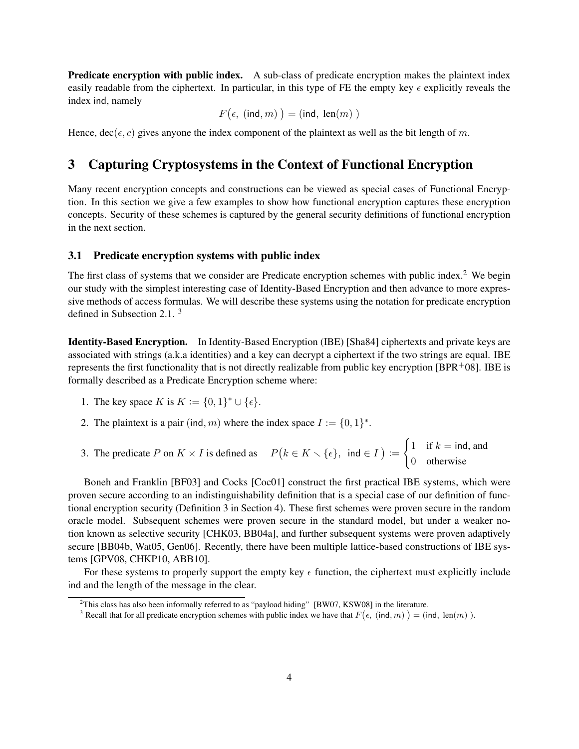**Predicate encryption with public index.** A sub-class of predicate encryption makes the plaintext index easily readable from the ciphertext. In particular, in this type of FE the empty key  $\epsilon$  explicitly reveals the index ind, namely

$$
F(\epsilon, (\text{ind}, m)) = (\text{ind}, \text{len}(m))
$$

Hence,  $\text{dec}(\epsilon, c)$  gives anyone the index component of the plaintext as well as the bit length of m.

## <span id="page-4-0"></span>3 Capturing Cryptosystems in the Context of Functional Encryption

Many recent encryption concepts and constructions can be viewed as special cases of Functional Encryption. In this section we give a few examples to show how functional encryption captures these encryption concepts. Security of these schemes is captured by the general security definitions of functional encryption in the next section.

### 3.1 Predicate encryption systems with public index

The first class of systems that we consider are Predicate encryption schemes with public index.<sup>[2](#page-4-1)</sup> We begin our study with the simplest interesting case of Identity-Based Encryption and then advance to more expressive methods of access formulas. We will describe these systems using the notation for predicate encryption defined in Subsection [2.1.](#page-3-0) [3](#page-4-2)

Identity-Based Encryption. In Identity-Based Encryption (IBE) [\[Sha84\]](#page-19-0) ciphertexts and private keys are associated with strings (a.k.a identities) and a key can decrypt a ciphertext if the two strings are equal. IBE represents the first functionality that is not directly realizable from public key encryption [\[BPR](#page-17-5)+08]. IBE is formally described as a Predicate Encryption scheme where:

- 1. The key space K is  $K := \{0,1\}^* \cup \{\epsilon\}.$
- 2. The plaintext is a pair (ind, m) where the index space  $I := \{0, 1\}^*$ .

3. The predicate P on 
$$
K \times I
$$
 is defined as  $P(k \in K \setminus \{\epsilon\}, \text{ ind } \in I) := \begin{cases} 1 & \text{if } k = \text{ ind, and} \\ 0 & \text{otherwise} \end{cases}$ 

Boneh and Franklin [\[BF03\]](#page-16-0) and Cocks [\[Coc01\]](#page-17-2) construct the first practical IBE systems, which were proven secure according to an indistinguishability definition that is a special case of our definition of functional encryption security (Definition [3](#page-8-0) in Section [4\)](#page-7-0). These first schemes were proven secure in the random oracle model. Subsequent schemes were proven secure in the standard model, but under a weaker notion known as selective security [\[CHK03,](#page-17-6) [BB04a\]](#page-16-3), and further subsequent systems were proven adaptively secure [\[BB04b,](#page-16-4) [Wat05,](#page-19-3) [Gen06\]](#page-17-7). Recently, there have been multiple lattice-based constructions of IBE systems [\[GPV08,](#page-18-6) [CHKP10,](#page-17-8) [ABB10\]](#page-16-5).

For these systems to properly support the empty key  $\epsilon$  function, the ciphertext must explicitly include ind and the length of the message in the clear.

<span id="page-4-1"></span><sup>&</sup>lt;sup>2</sup>This class has also been informally referred to as "payload hiding" [\[BW07,](#page-17-3) [KSW08\]](#page-18-0) in the literature.

<span id="page-4-2"></span><sup>&</sup>lt;sup>3</sup> Recall that for all predicate encryption schemes with public index we have that  $F(\epsilon, \text{ (ind}, m)) = (\text{ind}, \text{len}(m))$ .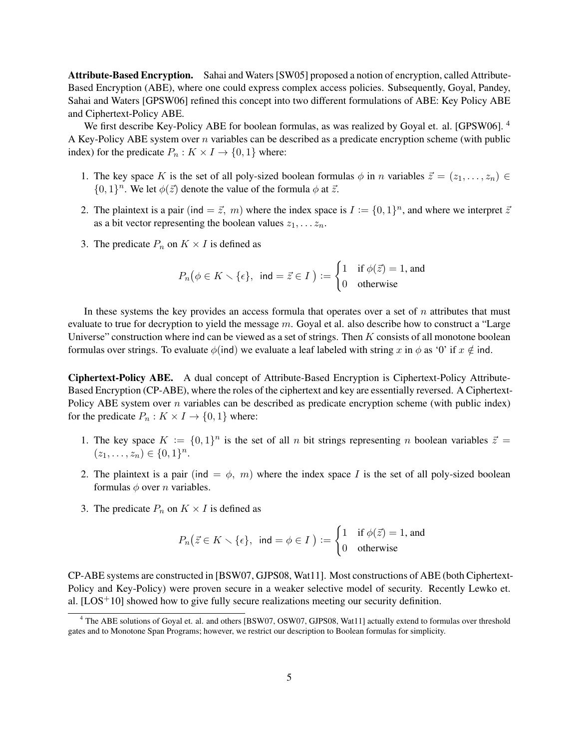Attribute-Based Encryption. Sahai and Waters [\[SW05\]](#page-19-1) proposed a notion of encryption, called Attribute-Based Encryption (ABE), where one could express complex access policies. Subsequently, Goyal, Pandey, Sahai and Waters [\[GPSW06\]](#page-18-7) refined this concept into two different formulations of ABE: Key Policy ABE and Ciphertext-Policy ABE.

We first describe Key-Policy ABE for boolean formulas, as was realized by Goyal et. al. [\[GPSW06\]](#page-18-7).<sup>[4](#page-5-0)</sup> A Key-Policy ABE system over n variables can be described as a predicate encryption scheme (with public index) for the predicate  $P_n: K \times I \to \{0, 1\}$  where:

- 1. The key space K is the set of all poly-sized boolean formulas  $\phi$  in n variables  $\vec{z} = (z_1, \ldots, z_n) \in$  $\{0, 1\}^n$ . We let  $\phi(\vec{z})$  denote the value of the formula  $\phi$  at  $\vec{z}$ .
- 2. The plaintext is a pair (ind  $=\vec{z}$ , m) where the index space is  $I := \{0, 1\}^n$ , and where we interpret  $\vec{z}$ as a bit vector representing the boolean values  $z_1, \ldots z_n$ .
- 3. The predicate  $P_n$  on  $K \times I$  is defined as

$$
P_n(\phi \in K \setminus \{\epsilon\}, \text{ ind } = \vec{z} \in I) := \begin{cases} 1 & \text{if } \phi(\vec{z}) = 1 \text{, and} \\ 0 & \text{otherwise} \end{cases}
$$

In these systems the key provides an access formula that operates over a set of  $n$  attributes that must evaluate to true for decryption to yield the message  $m$ . Goyal et al. also describe how to construct a "Large Universe" construction where ind can be viewed as a set of strings. Then  $K$  consists of all monotone boolean formulas over strings. To evaluate  $\phi$ (ind) we evaluate a leaf labeled with string x in  $\phi$  as '0' if  $x \notin \text{ind}$ .

Ciphertext-Policy ABE. A dual concept of Attribute-Based Encryption is Ciphertext-Policy Attribute-Based Encryption (CP-ABE), where the roles of the ciphertext and key are essentially reversed. A Ciphertext-Policy ABE system over  $n$  variables can be described as predicate encryption scheme (with public index) for the predicate  $P_n: K \times I \to \{0,1\}$  where:

- 1. The key space  $K := \{0,1\}^n$  is the set of all n bit strings representing n boolean variables  $\vec{z} =$  $(z_1, \ldots, z_n) \in \{0, 1\}^n$ .
- 2. The plaintext is a pair (ind =  $\phi$ , m) where the index space I is the set of all poly-sized boolean formulas  $\phi$  over *n* variables.
- 3. The predicate  $P_n$  on  $K \times I$  is defined as

$$
P_n(\vec{z} \in K \smallsetminus \{\epsilon\}, \text{ ind} = \phi \in I) := \begin{cases} 1 & \text{if } \phi(\vec{z}) = 1 \text{, and} \\ 0 & \text{otherwise} \end{cases}
$$

CP-ABE systems are constructed in [\[BSW07,](#page-17-9) [GJPS08,](#page-17-10) [Wat11\]](#page-19-4). Most constructions of ABE (both Ciphertext-Policy and Key-Policy) were proven secure in a weaker selective model of security. Recently Lewko et. al.  $[LOS<sup>+</sup>10]$  $[LOS<sup>+</sup>10]$  showed how to give fully secure realizations meeting our security definition.

<span id="page-5-0"></span><sup>4</sup> The ABE solutions of Goyal et. al. and others [\[BSW07,](#page-17-9) [OSW07,](#page-18-8) [GJPS08,](#page-17-10) [Wat11\]](#page-19-4) actually extend to formulas over threshold gates and to Monotone Span Programs; however, we restrict our description to Boolean formulas for simplicity.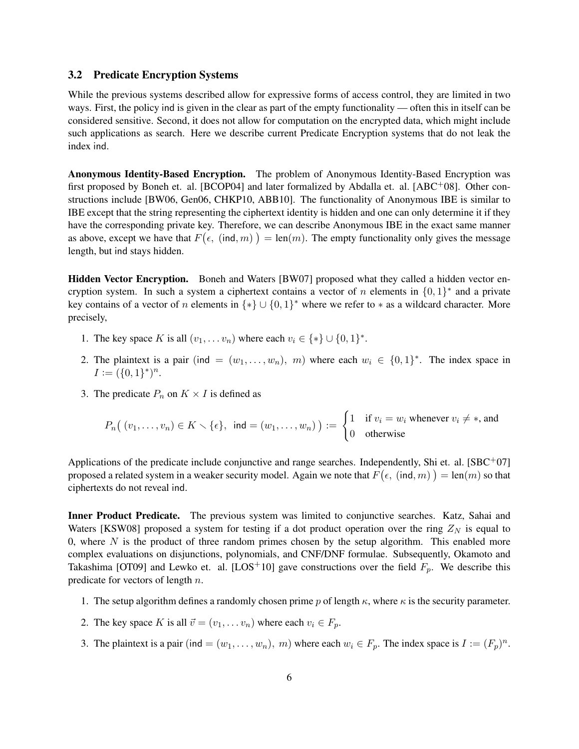### 3.2 Predicate Encryption Systems

While the previous systems described allow for expressive forms of access control, they are limited in two ways. First, the policy ind is given in the clear as part of the empty functionality — often this in itself can be considered sensitive. Second, it does not allow for computation on the encrypted data, which might include such applications as search. Here we describe current Predicate Encryption systems that do not leak the index ind.

Anonymous Identity-Based Encryption. The problem of Anonymous Identity-Based Encryption was first proposed by Boneh et. al. [\[BCOP04\]](#page-16-1) and later formalized by Abdalla et. al. [\[ABC](#page-16-6)+08]. Other constructions include [\[BW06,](#page-17-11) [Gen06,](#page-17-7) [CHKP10,](#page-17-8) [ABB10\]](#page-16-5). The functionality of Anonymous IBE is similar to IBE except that the string representing the ciphertext identity is hidden and one can only determine it if they have the corresponding private key. Therefore, we can describe Anonymous IBE in the exact same manner as above, except we have that  $F(\epsilon, \text{ (ind}, m)) = \text{len}(m)$ . The empty functionality only gives the message length, but ind stays hidden.

Hidden Vector Encryption. Boneh and Waters [\[BW07\]](#page-17-3) proposed what they called a hidden vector encryption system. In such a system a ciphertext contains a vector of n elements in  $\{0,1\}^*$  and a private key contains of a vector of n elements in  $\{*\} \cup \{0,1\}^*$  where we refer to  $*$  as a wildcard character. More precisely,

- 1. The key space K is all  $(v_1, \ldots v_n)$  where each  $v_i \in \{*\} \cup \{0,1\}^*$ .
- 2. The plaintext is a pair (ind =  $(w_1, \ldots, w_n)$ , m) where each  $w_i \in \{0, 1\}^*$ . The index space in  $I := (\{0,1\}^*)^n.$
- 3. The predicate  $P_n$  on  $K \times I$  is defined as

$$
P_n((v_1,\ldots,v_n)\in K\smallsetminus\{\epsilon\},\ \text{ind}=(w_1,\ldots,w_n)\ ):=\begin{cases}1 &\text{if }v_i=w_i\ \text{whenever}\ v_i\neq *, \text{and} \\ 0 &\text{otherwise}\end{cases}
$$

Applications of the predicate include conjunctive and range searches. Independently, Shi et. al.  $[SBC^+07]$  $[SBC^+07]$ proposed a related system in a weaker security model. Again we note that  $F(\epsilon, \, (\text{ind}, m) \,) = \text{len}(m)$  so that ciphertexts do not reveal ind.

Inner Product Predicate. The previous system was limited to conjunctive searches. Katz, Sahai and Waters [\[KSW08\]](#page-18-0) proposed a system for testing if a dot product operation over the ring  $Z_N$  is equal to 0, where  $N$  is the product of three random primes chosen by the setup algorithm. This enabled more complex evaluations on disjunctions, polynomials, and CNF/DNF formulae. Subsequently, Okamoto and Takashima [\[OT09\]](#page-18-10) and Lewko et. al. [\[LOS](#page-18-1)<sup>+</sup>10] gave constructions over the field  $F_p$ . We describe this predicate for vectors of length n.

- 1. The setup algorithm defines a randomly chosen prime p of length  $\kappa$ , where  $\kappa$  is the security parameter.
- 2. The key space K is all  $\vec{v} = (v_1, \dots v_n)$  where each  $v_i \in F_p$ .
- 3. The plaintext is a pair (ind  $=(w_1,\ldots,w_n), m$ ) where each  $w_i \in F_p$ . The index space is  $I := (F_p)^n$ .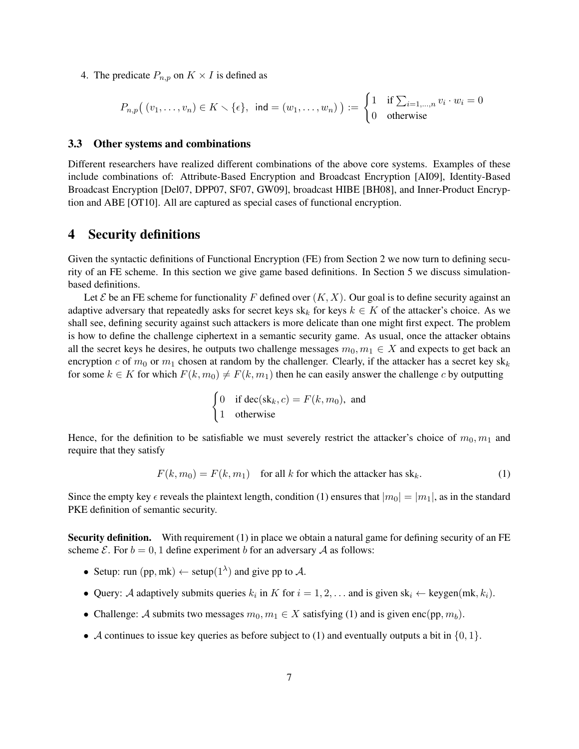4. The predicate  $P_{n,p}$  on  $K \times I$  is defined as

$$
P_{n,p}((v_1,\ldots,v_n)\in K\smallsetminus\{\epsilon\},\ \text{ind}=(w_1,\ldots,w_n)\ ):=\begin{cases}1 & \text{if } \sum_{i=1,\ldots,n}v_i\cdot w_i=0\\0 & \text{otherwise}\end{cases}
$$

#### 3.3 Other systems and combinations

Different researchers have realized different combinations of the above core systems. Examples of these include combinations of: Attribute-Based Encryption and Broadcast Encryption [\[AI09\]](#page-16-7), Identity-Based Broadcast Encryption [\[Del07,](#page-17-12) [DPP07,](#page-17-13) [SF07,](#page-19-5) [GW09\]](#page-18-11), broadcast HIBE [\[BH08\]](#page-16-8), and Inner-Product Encryption and ABE [\[OT10\]](#page-18-2). All are captured as special cases of functional encryption.

### <span id="page-7-0"></span>4 Security definitions

Given the syntactic definitions of Functional Encryption (FE) from Section [2](#page-2-1) we now turn to defining security of an FE scheme. In this section we give game based definitions. In Section [5](#page-9-0) we discuss simulationbased definitions.

Let  $\mathcal E$  be an FE scheme for functionality F defined over  $(K, X)$ . Our goal is to define security against an adaptive adversary that repeatedly asks for secret keys sk<sub>k</sub> for keys  $k \in K$  of the attacker's choice. As we shall see, defining security against such attackers is more delicate than one might first expect. The problem is how to define the challenge ciphertext in a semantic security game. As usual, once the attacker obtains all the secret keys he desires, he outputs two challenge messages  $m_0, m_1 \in X$  and expects to get back an encryption c of  $m_0$  or  $m_1$  chosen at random by the challenger. Clearly, if the attacker has a secret key sk<sub>k</sub> for some  $k \in K$  for which  $F(k, m_0) \neq F(k, m_1)$  then he can easily answer the challenge c by outputting

$$
\begin{cases}\n0 & \text{if } \text{dec}(sk_k, c) = F(k, m_0), \text{ and} \\
1 & \text{otherwise}\n\end{cases}
$$

Hence, for the definition to be satisfiable we must severely restrict the attacker's choice of  $m_0, m_1$  and require that they satisfy

<span id="page-7-1"></span>
$$
F(k, m_0) = F(k, m_1) \quad \text{for all } k \text{ for which the attacker has skk.} \tag{1}
$$

Since the empty key  $\epsilon$  reveals the plaintext length, condition [\(1\)](#page-7-1) ensures that  $|m_0| = |m_1|$ , as in the standard PKE definition of semantic security.

Security definition. With requirement [\(1\)](#page-7-1) in place we obtain a natural game for defining security of an FE scheme  $\mathcal{E}$ . For  $b = 0, 1$  define experiment b for an adversary  $\mathcal{A}$  as follows:

- Setup: run (pp, mk)  $\leftarrow$  setup( $1^{\lambda}$ ) and give pp to A.
- Query: A adaptively submits queries  $k_i$  in K for  $i = 1, 2, \ldots$  and is given sk<sub>i</sub>  $\leftarrow$  keygen(mk, k<sub>i</sub>).
- Challenge: A submits two messages  $m_0, m_1 \in X$  satisfying [\(1\)](#page-7-1) and is given enc(pp,  $m_b$ ).
- A continues to issue key queries as before subject to [\(1\)](#page-7-1) and eventually outputs a bit in  $\{0, 1\}$ .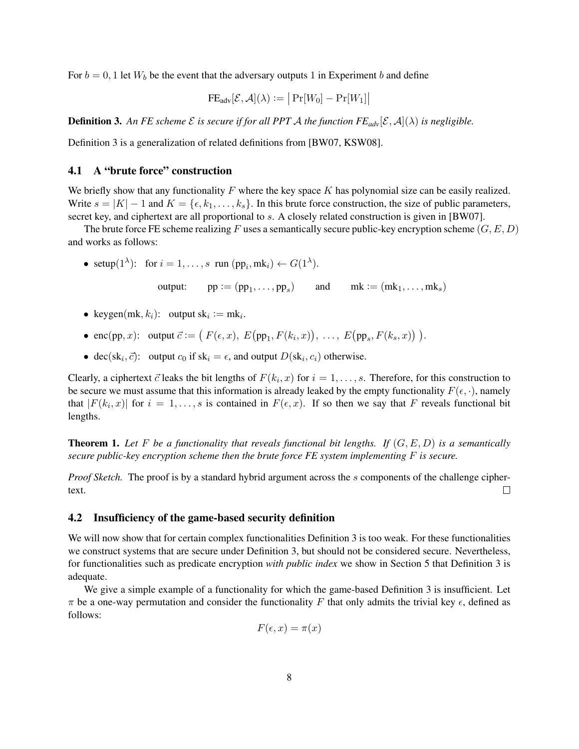For  $b = 0, 1$  let  $W_b$  be the event that the adversary outputs 1 in Experiment b and define

$$
FE_{adv}[\mathcal{E}, \mathcal{A}](\lambda) := | \Pr[W_0] - \Pr[W_1] |
$$

<span id="page-8-0"></span>**Definition 3.** An FE scheme  $\mathcal E$  is secure if for all PPT A the function  $FE_{adv}[\mathcal E, \mathcal A](\lambda)$  is negligible.

Definition [3](#page-8-0) is a generalization of related definitions from [\[BW07,](#page-17-3) [KSW08\]](#page-18-0).

### 4.1 A "brute force" construction

We briefly show that any functionality  $F$  where the key space  $K$  has polynomial size can be easily realized. Write  $s = |K| - 1$  and  $K = \{\epsilon, k_1, \ldots, k_s\}$ . In this brute force construction, the size of public parameters, secret key, and ciphertext are all proportional to s. A closely related construction is given in [\[BW07\]](#page-17-3).

The brute force FE scheme realizing F uses a semantically secure public-key encryption scheme  $(G, E, D)$ and works as follows:

• setup(1<sup> $\lambda$ </sup>): for  $i = 1, ..., s$  run (pp<sub>i</sub>, mk<sub>i</sub>)  $\leftarrow G(1^{\lambda})$ .

output:  $pp := (pp_1, \ldots, pp_s)$  and  $mk := (mk_1, \ldots, mk_s)$ 

- keygen(mk,  $k_i$ ): output sk $_i := mk_i$ .
- enc(pp, x): output  $\vec{c} := (F(\epsilon, x), E(pp_1, F(k_i, x)), \ldots, E(pp_s, F(k_s, x))).$
- dec(sk<sub>i</sub>,  $\vec{c}$ ): output  $c_0$  if sk<sub>i</sub> =  $\epsilon$ , and output  $D(\text{sk}_i, c_i)$  otherwise.

Clearly, a ciphertext  $\vec{c}$  leaks the bit lengths of  $F(k_i, x)$  for  $i = 1, \ldots, s$ . Therefore, for this construction to be secure we must assume that this information is already leaked by the empty functionality  $F(\epsilon, \cdot)$ , namely that  $|F(k_i, x)|$  for  $i = 1, \ldots, s$  is contained in  $F(\epsilon, x)$ . If so then we say that F reveals functional bit lengths.

Theorem 1. *Let* F *be a functionality that reveals functional bit lengths. If* (G, E, D) *is a semantically secure public-key encryption scheme then the brute force FE system implementing* F *is secure.*

*Proof Sketch.* The proof is by a standard hybrid argument across the s components of the challenge cipher- $\Box$ text.

#### <span id="page-8-1"></span>4.2 Insufficiency of the game-based security definition

We will now show that for certain complex functionalities Definition [3](#page-8-0) is too weak. For these functionalities we construct systems that are secure under Definition [3,](#page-8-0) but should not be considered secure. Nevertheless, for functionalities such as predicate encryption *with public index* we show in Section [5](#page-9-0) that Definition [3](#page-8-0) is adequate.

We give a simple example of a functionality for which the game-based Definition [3](#page-8-0) is insufficient. Let  $\pi$  be a one-way permutation and consider the functionality F that only admits the trivial key  $\epsilon$ , defined as follows:

$$
F(\epsilon, x) = \pi(x)
$$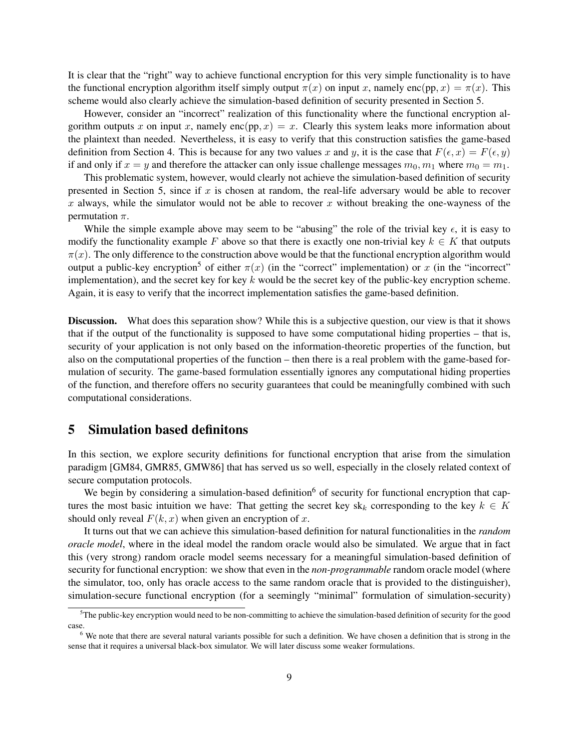It is clear that the "right" way to achieve functional encryption for this very simple functionality is to have the functional encryption algorithm itself simply output  $\pi(x)$  on input x, namely enc(pp, x) =  $\pi(x)$ . This scheme would also clearly achieve the simulation-based definition of security presented in Section [5.](#page-9-0)

However, consider an "incorrect" realization of this functionality where the functional encryption algorithm outputs x on input x, namely enc(pp, x) = x. Clearly this system leaks more information about the plaintext than needed. Nevertheless, it is easy to verify that this construction satisfies the game-based definition from Section [4.](#page-7-0) This is because for any two values x and y, it is the case that  $F(\epsilon, x) = F(\epsilon, y)$ if and only if  $x = y$  and therefore the attacker can only issue challenge messages  $m_0$ ,  $m_1$  where  $m_0 = m_1$ .

This problematic system, however, would clearly not achieve the simulation-based definition of security presented in Section [5,](#page-9-0) since if  $x$  is chosen at random, the real-life adversary would be able to recover x always, while the simulator would not be able to recover x without breaking the one-wayness of the permutation  $\pi$ .

While the simple example above may seem to be "abusing" the role of the trivial key  $\epsilon$ , it is easy to modify the functionality example F above so that there is exactly one non-trivial key  $k \in K$  that outputs  $\pi(x)$ . The only difference to the construction above would be that the functional encryption algorithm would output a public-key encryption<sup>[5](#page-9-1)</sup> of either  $\pi(x)$  (in the "correct" implementation) or x (in the "incorrect" implementation), and the secret key for key  $k$  would be the secret key of the public-key encryption scheme. Again, it is easy to verify that the incorrect implementation satisfies the game-based definition.

**Discussion.** What does this separation show? While this is a subjective question, our view is that it shows that if the output of the functionality is supposed to have some computational hiding properties – that is, security of your application is not only based on the information-theoretic properties of the function, but also on the computational properties of the function – then there is a real problem with the game-based formulation of security. The game-based formulation essentially ignores any computational hiding properties of the function, and therefore offers no security guarantees that could be meaningfully combined with such computational considerations.

## <span id="page-9-0"></span>5 Simulation based definitons

In this section, we explore security definitions for functional encryption that arise from the simulation paradigm [\[GM84,](#page-18-3) [GMR85,](#page-18-12) [GMW86\]](#page-18-13) that has served us so well, especially in the closely related context of secure computation protocols.

We begin by considering a simulation-based definition<sup>[6](#page-9-2)</sup> of security for functional encryption that captures the most basic intuition we have: That getting the secret key sk<sub>k</sub> corresponding to the key  $k \in K$ should only reveal  $F(k, x)$  when given an encryption of x.

It turns out that we can achieve this simulation-based definition for natural functionalities in the *random oracle model*, where in the ideal model the random oracle would also be simulated. We argue that in fact this (very strong) random oracle model seems necessary for a meaningful simulation-based definition of security for functional encryption: we show that even in the *non-programmable* random oracle model (where the simulator, too, only has oracle access to the same random oracle that is provided to the distinguisher), simulation-secure functional encryption (for a seemingly "minimal" formulation of simulation-security)

<span id="page-9-1"></span> $5$ The public-key encryption would need to be non-committing to achieve the simulation-based definition of security for the good case.

<span id="page-9-2"></span><sup>&</sup>lt;sup>6</sup> We note that there are several natural variants possible for such a definition. We have chosen a definition that is strong in the sense that it requires a universal black-box simulator. We will later discuss some weaker formulations.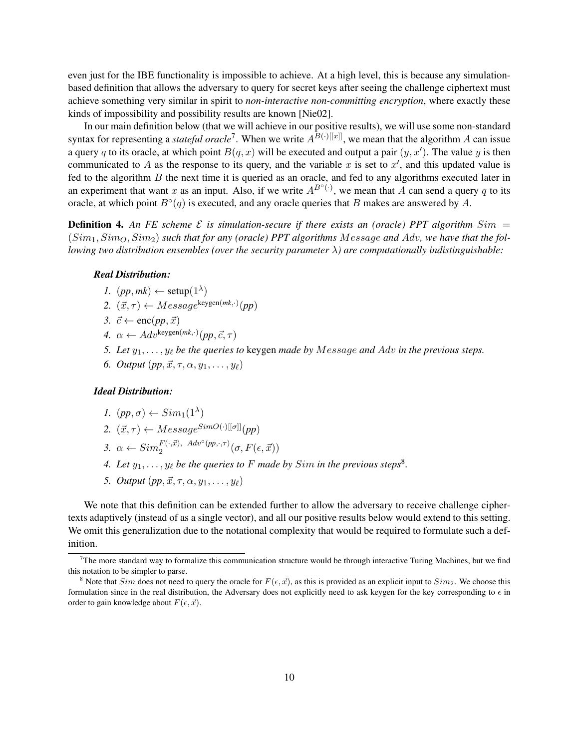even just for the IBE functionality is impossible to achieve. At a high level, this is because any simulationbased definition that allows the adversary to query for secret keys after seeing the challenge ciphertext must achieve something very similar in spirit to *non-interactive non-committing encryption*, where exactly these kinds of impossibility and possibility results are known [\[Nie02\]](#page-18-4).

In our main definition below (that we will achieve in our positive results), we will use some non-standard syntax for representing a *stateful oracle*<sup>[7](#page-10-0)</sup>. When we write  $A^{B(\cdot)[[x]]}$ , we mean that the algorithm A can issue a query q to its oracle, at which point  $B(q, x)$  will be executed and output a pair  $(y, x')$ . The value y is then communicated to A as the response to its query, and the variable x is set to  $x'$ , and this updated value is fed to the algorithm  $B$  the next time it is queried as an oracle, and fed to any algorithms executed later in an experiment that want x as an input. Also, if we write  $A^{B°(\cdot)}$ , we mean that A can send a query q to its oracle, at which point  $B<sup>°</sup>(q)$  is executed, and any oracle queries that B makes are answered by A.

<span id="page-10-2"></span>**Definition 4.** An FE scheme  $\mathcal E$  is simulation-secure if there exists an (oracle) PPT algorithm  $Sim =$  $(Sim_1, Sim_0, Sim_2)$  *such that for any (oracle) PPT algorithms Message and Adv, we have that the following two distribution ensembles (over the security parameter* λ*) are computationally indistinguishable:*

#### *Real Distribution:*

- *1.*  $(pp,mk) \leftarrow \text{setup}(1^{\lambda})$
- 2.  $(\vec{x}, \tau) \leftarrow Message^{keygen(mk, \cdot)}(pp)$
- *3.*  $\vec{c}$  ← enc(*pp*,  $\vec{x}$ )
- *4.*  $\alpha \leftarrow Adv^{\text{keygen}(mk,\cdot)}(pp,\vec{c},\tau)$
- 5. Let  $y_1, \ldots, y_\ell$  be the queries to keygen *made* by Message and Adv in the previous steps.
- *6. Output*  $(pp, \vec{x}, \tau, \alpha, y_1, \ldots, y_\ell)$

### *Ideal Distribution:*

- *1.*  $(pp, \sigma) \leftarrow Sim_1(1^{\lambda})$
- 2.  $(\vec{x}, \tau) \leftarrow Message^{SimO(\cdot)[[\sigma]]}(pp)$
- 3.  $\alpha \leftarrow Sim_2^{F(\cdot, \vec{x})}, \ Adv^{\circ}(pp, \cdot, \tau) (\sigma, F(\epsilon, \vec{x}))$
- 4. Let  $y_1, \ldots, y_\ell$  be the queries to F made by Sim in the previous steps<sup>[8](#page-10-1)</sup>.
- *5. Output*  $(pp, \vec{x}, \tau, \alpha, y_1, \ldots, y_\ell)$

We note that this definition can be extended further to allow the adversary to receive challenge ciphertexts adaptively (instead of as a single vector), and all our positive results below would extend to this setting. We omit this generalization due to the notational complexity that would be required to formulate such a definition.

<span id="page-10-0"></span> $7$ The more standard way to formalize this communication structure would be through interactive Turing Machines, but we find this notation to be simpler to parse.

<span id="page-10-1"></span><sup>&</sup>lt;sup>8</sup> Note that *Sim* does not need to query the oracle for  $F(\epsilon, \vec{x})$ , as this is provided as an explicit input to *Sim<sub>2</sub>*. We choose this formulation since in the real distribution, the Adversary does not explicitly need to ask keygen for the key corresponding to  $\epsilon$  in order to gain knowledge about  $F(\epsilon, \vec{x})$ .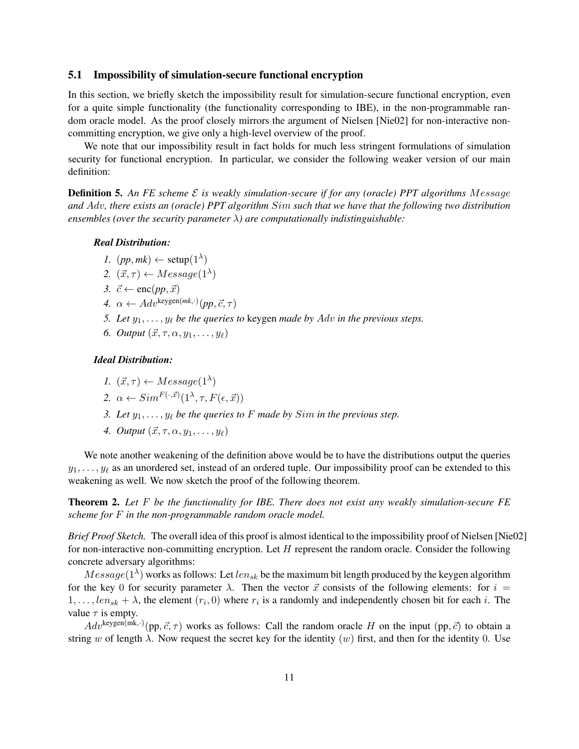### 5.1 Impossibility of simulation-secure functional encryption

In this section, we briefly sketch the impossibility result for simulation-secure functional encryption, even for a quite simple functionality (the functionality corresponding to IBE), in the non-programmable random oracle model. As the proof closely mirrors the argument of Nielsen [\[Nie02\]](#page-18-4) for non-interactive noncommitting encryption, we give only a high-level overview of the proof.

We note that our impossibility result in fact holds for much less stringent formulations of simulation security for functional encryption. In particular, we consider the following weaker version of our main definition:

**Definition 5.** An FE scheme  $\mathcal E$  is weakly simulation-secure if for any (oracle) PPT algorithms Message *and* Adv*, there exists an (oracle) PPT algorithm* Sim *such that we have that the following two distribution ensembles (over the security parameter* λ*) are computationally indistinguishable:*

#### *Real Distribution:*

- *1.*  $(pp,mk) \leftarrow \text{setup}(1^{\lambda})$
- 2.  $(\vec{x}, \tau) \leftarrow Message(1^{\lambda})$
- *3.*  $\vec{c}$  ← enc(*pp*,  $\vec{x}$ )
- *4.*  $\alpha \leftarrow Adv^{\text{keygen}(mk,\cdot)}(pp,\vec{c},\tau)$
- *5. Let*  $y_1, \ldots, y_\ell$  *be the queries to* keygen *made by* Adv *in the previous steps.*
- *6. Output*  $(\vec{x}, \tau, \alpha, y_1, \ldots, y_\ell)$

### *Ideal Distribution:*

- *1.*  $(\vec{x}, \tau) \leftarrow Message(1^{\lambda})$
- 2.  $\alpha \leftarrow Sim^{F(\cdot, \vec{x})}(1^{\lambda}, \tau, F(\epsilon, \vec{x}))$
- *3. Let*  $y_1, \ldots, y_\ell$  *be the queries to* F *made by* Sim *in the previous step.*
- *4. Output*  $(\vec{x}, \tau, \alpha, y_1, \ldots, y_\ell)$

We note another weakening of the definition above would be to have the distributions output the queries  $y_1, \ldots, y_\ell$  as an unordered set, instead of an ordered tuple. Our impossibility proof can be extended to this weakening as well. We now sketch the proof of the following theorem.

Theorem 2. *Let* F *be the functionality for IBE. There does not exist any weakly simulation-secure FE scheme for* F *in the non-programmable random oracle model.*

*Brief Proof Sketch.* The overall idea of this proof is almost identical to the impossibility proof of Nielsen [\[Nie02\]](#page-18-4) for non-interactive non-committing encryption. Let  $H$  represent the random oracle. Consider the following concrete adversary algorithms:

 $Message(1^{\lambda})$  works as follows: Let  $len_{sk}$  be the maximum bit length produced by the keygen algorithm for the key 0 for security parameter  $\lambda$ . Then the vector  $\vec{x}$  consists of the following elements: for  $i =$  $1, \ldots, len_{sk} + \lambda$ , the element  $(r_i, 0)$  where  $r_i$  is a randomly and independently chosen bit for each i. The value  $\tau$  is empty.

 $Adv^{\text{keygen(mk,.)}}(pp, \vec{c}, \tau)$  works as follows: Call the random oracle H on the input  $(pp, \vec{c})$  to obtain a string w of length  $\lambda$ . Now request the secret key for the identity  $(w)$  first, and then for the identity 0. Use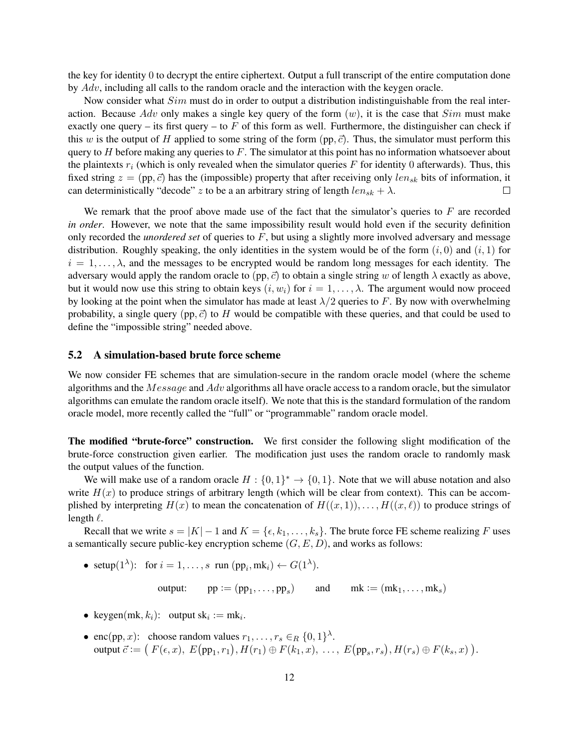the key for identity 0 to decrypt the entire ciphertext. Output a full transcript of the entire computation done by  $Adv$ , including all calls to the random oracle and the interaction with the keygen oracle.

Now consider what  $Sim$  must do in order to output a distribution indistinguishable from the real interaction. Because Adv only makes a single key query of the form  $(w)$ , it is the case that  $Sim$  must make exactly one query – its first query – to F of this form as well. Furthermore, the distinguisher can check if this w is the output of H applied to some string of the form  $(pp, \vec{c})$ . Thus, the simulator must perform this query to H before making any queries to F. The simulator at this point has no information whatsoever about the plaintexts  $r_i$  (which is only revealed when the simulator queries F for identity 0 afterwards). Thus, this fixed string  $z = (pp, \vec{c})$  has the (impossible) property that after receiving only  $len_{sk}$  bits of information, it can deterministically "decode" z to be a an arbitrary string of length  $len_{sk} + \lambda$ .  $\Box$ 

We remark that the proof above made use of the fact that the simulator's queries to  $F$  are recorded *in order*. However, we note that the same impossibility result would hold even if the security definition only recorded the *unordered set* of queries to F, but using a slightly more involved adversary and message distribution. Roughly speaking, the only identities in the system would be of the form  $(i, 0)$  and  $(i, 1)$  for  $i = 1, \ldots, \lambda$ , and the messages to be encrypted would be random long messages for each identity. The adversary would apply the random oracle to (pp,  $\vec{c}$ ) to obtain a single string w of length  $\lambda$  exactly as above, but it would now use this string to obtain keys  $(i, w_i)$  for  $i = 1, \ldots, \lambda$ . The argument would now proceed by looking at the point when the simulator has made at least  $\lambda/2$  queries to F. By now with overwhelming probability, a single query (pp,  $\vec{c}$ ) to H would be compatible with these queries, and that could be used to define the "impossible string" needed above.

### 5.2 A simulation-based brute force scheme

We now consider FE schemes that are simulation-secure in the random oracle model (where the scheme algorithms and the Message and Adv algorithms all have oracle access to a random oracle, but the simulator algorithms can emulate the random oracle itself). We note that this is the standard formulation of the random oracle model, more recently called the "full" or "programmable" random oracle model.

The modified "brute-force" construction. We first consider the following slight modification of the brute-force construction given earlier. The modification just uses the random oracle to randomly mask the output values of the function.

We will make use of a random oracle  $H: \{0,1\}^* \to \{0,1\}$ . Note that we will abuse notation and also write  $H(x)$  to produce strings of arbitrary length (which will be clear from context). This can be accomplished by interpreting  $H(x)$  to mean the concatenation of  $H((x, 1)), \ldots, H((x, \ell))$  to produce strings of length  $\ell$ .

Recall that we write  $s = |K| - 1$  and  $K = \{\epsilon, k_1, \ldots, k_s\}$ . The brute force FE scheme realizing F uses a semantically secure public-key encryption scheme  $(G, E, D)$ , and works as follows:

• setup( $1^{\lambda}$ ): for  $i = 1, ..., s$  run  $(pp_i, mk_i) \leftarrow G(1^{\lambda})$ .

output:  $pp := (pp_1, \ldots, pp_s)$  and  $mk := (mk_1, \ldots, mk_s)$ 

- keygen(mk,  $k_i$ ): output sk<sub>i</sub> := mk<sub>i</sub>.
- enc(pp, x): choose random values  $r_1, \ldots, r_s \in_R \{0, 1\}^{\lambda}$ . output  $\vec{c} := (F(\epsilon, x), E(p_{p_1}, r_1), H(r_1) \oplus F(k_1, x), \ldots, E(p_{p_s}, r_s), H(r_s) \oplus F(k_s, x)).$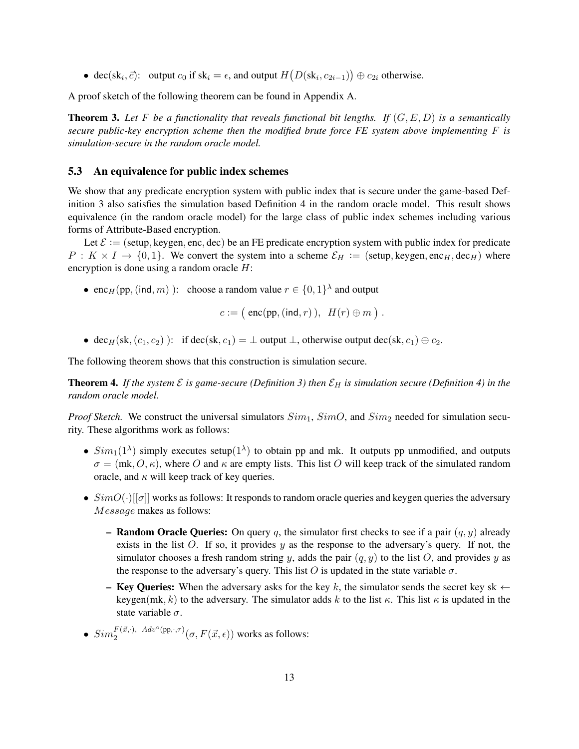• dec(sk<sub>i</sub>,  $\vec{c}$ ): output  $c_0$  if sk<sub>i</sub> =  $\epsilon$ , and output  $H(D(\text{sk}_i, c_{2i-1})) \oplus c_{2i}$  otherwise.

A proof sketch of the following theorem can be found in Appendix [A.](#page-19-6)

<span id="page-13-0"></span>Theorem 3. *Let* F *be a functionality that reveals functional bit lengths. If* (G, E, D) *is a semantically secure public-key encryption scheme then the modified brute force FE system above implementing* F *is simulation-secure in the random oracle model.*

### 5.3 An equivalence for public index schemes

We show that any predicate encryption system with public index that is secure under the game-based Definition [3](#page-8-0) also satisfies the simulation based Definition [4](#page-10-2) in the random oracle model. This result shows equivalence (in the random oracle model) for the large class of public index schemes including various forms of Attribute-Based encryption.

Let  $\mathcal{E} :=$  (setup, keygen, enc, dec) be an FE predicate encryption system with public index for predicate  $P: K \times I \rightarrow \{0, 1\}$ . We convert the system into a scheme  $\mathcal{E}_H :=$  (setup, keygen, enc<sub>H</sub>, dec<sub>H</sub>) where encryption is done using a random oracle H:

• enc<sub>H</sub>(pp, (ind, m)): choose a random value  $r \in \{0,1\}^{\lambda}$  and output

$$
c := (\text{enc}(pp, (\text{ind}, r)), H(r) \oplus m).
$$

• dec<sub>H</sub>(sk,  $(c_1, c_2)$ ): if dec(sk,  $c_1$ ) =  $\perp$  output  $\perp$ , otherwise output dec(sk,  $c_1$ )  $\oplus$   $c_2$ .

The following theorem shows that this construction is simulation secure.

**Theorem 4.** If the system  $\mathcal E$  is game-secure (Definition [3\)](#page-8-0) then  $\mathcal E_H$  is simulation secure (Definition [4\)](#page-10-2) in the *random oracle model.*

*Proof Sketch.* We construct the universal simulators  $Sim_1$ ,  $SimO$ , and  $Sim_2$  needed for simulation security. These algorithms work as follows:

- $Sim_1(1^{\lambda})$  simply executes setup $(1^{\lambda})$  to obtain pp and mk. It outputs pp unmodified, and outputs  $\sigma = (\text{mk}, O, \kappa)$ , where O and  $\kappa$  are empty lists. This list O will keep track of the simulated random oracle, and  $\kappa$  will keep track of key queries.
- $SimO(·)[\sigma]]$  works as follows: It responds to random oracle queries and keygen queries the adversary Message makes as follows:
	- **Random Oracle Queries:** On query q, the simulator first checks to see if a pair  $(q, y)$  already exists in the list  $O$ . If so, it provides  $y$  as the response to the adversary's query. If not, the simulator chooses a fresh random string y, adds the pair  $(q, y)$  to the list O, and provides y as the response to the adversary's query. This list O is updated in the state variable  $\sigma$ .
	- Key Queries: When the adversary asks for the key k, the simulator sends the secret key sk  $\leftarrow$ keygen(mk, k) to the adversary. The simulator adds k to the list  $\kappa$ . This list  $\kappa$  is updated in the state variable  $\sigma$ .
- $Sim_2^{F(\vec{x},\cdot)}, \; {Adv}^{\circ}(pp,\cdot,\tau)}(\sigma, F(\vec{x}, \epsilon))$  works as follows: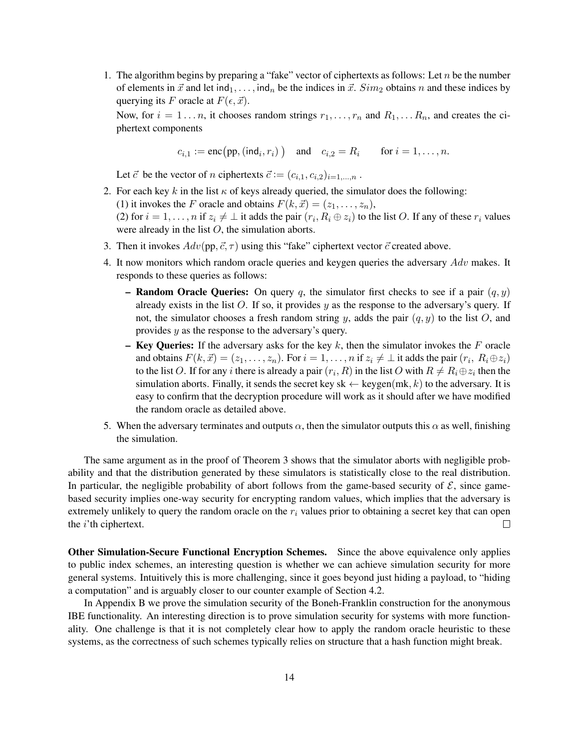1. The algorithm begins by preparing a "fake" vector of ciphertexts as follows: Let  $n$  be the number of elements in  $\vec{x}$  and let ind<sub>1</sub>, ..., ind<sub>n</sub> be the indices in  $\vec{x}$ . Sim<sub>2</sub> obtains n and these indices by querying its F oracle at  $F(\epsilon, \vec{x})$ .

Now, for  $i = 1...n$ , it chooses random strings  $r_1,...,r_n$  and  $R_1,...,R_n$ , and creates the ciphertext components

$$
c_{i,1} := \text{enc}(\text{pp}, (\text{ind}_i, r_i)) \quad \text{and} \quad c_{i,2} = R_i \quad \text{for } i = 1, \dots, n.
$$

Let  $\vec{c}$  be the vector of n ciphertexts  $\vec{c} := (c_{i,1}, c_{i,2})_{i=1,\dots,n}$ .

- 2. For each key k in the list  $\kappa$  of keys already queried, the simulator does the following: (1) it invokes the F oracle and obtains  $F(k, \vec{x}) = (z_1, \ldots, z_n)$ , (2) for  $i = 1, \ldots, n$  if  $z_i \neq \perp$  it adds the pair  $(r_i, R_i \oplus z_i)$  to the list O. If any of these  $r_i$  values were already in the list O, the simulation aborts.
- 3. Then it invokes  $Adv(pp, \vec{c}, \tau)$  using this "fake" ciphertext vector  $\vec{c}$  created above.
- 4. It now monitors which random oracle queries and keygen queries the adversary  $Adv$  makes. It responds to these queries as follows:
	- **Random Oracle Queries:** On query q, the simulator first checks to see if a pair  $(q, y)$ already exists in the list  $O$ . If so, it provides y as the response to the adversary's query. If not, the simulator chooses a fresh random string y, adds the pair  $(q, y)$  to the list O, and provides y as the response to the adversary's query.
	- Key Queries: If the adversary asks for the key  $k$ , then the simulator invokes the  $F$  oracle and obtains  $F(k, \vec{x}) = (z_1, \ldots, z_n)$ . For  $i = 1, \ldots, n$  if  $z_i \neq \bot$  it adds the pair  $(r_i, R_i \oplus z_i)$ to the list  $O.$  If for any  $i$  there is already a pair  $(r_i,R)$  in the list  $O$  with  $R\neq R_i\oplus z_i$  then the simulation aborts. Finally, it sends the secret key sk  $\leftarrow$  keygen(mk, k) to the adversary. It is easy to confirm that the decryption procedure will work as it should after we have modified the random oracle as detailed above.
- 5. When the adversary terminates and outputs  $\alpha$ , then the simulator outputs this  $\alpha$  as well, finishing the simulation.

The same argument as in the proof of Theorem [3](#page-13-0) shows that the simulator aborts with negligible probability and that the distribution generated by these simulators is statistically close to the real distribution. In particular, the negligible probability of abort follows from the game-based security of  $\mathcal{E}$ , since gamebased security implies one-way security for encrypting random values, which implies that the adversary is extremely unlikely to query the random oracle on the  $r_i$  values prior to obtaining a secret key that can open the  $i$ 'th ciphertext.  $\Box$ 

Other Simulation-Secure Functional Encryption Schemes. Since the above equivalence only applies to public index schemes, an interesting question is whether we can achieve simulation security for more general systems. Intuitively this is more challenging, since it goes beyond just hiding a payload, to "hiding a computation" and is arguably closer to our counter example of Section [4.2.](#page-8-1)

In Appendix [B](#page-21-0) we prove the simulation security of the Boneh-Franklin construction for the anonymous IBE functionality. An interesting direction is to prove simulation security for systems with more functionality. One challenge is that it is not completely clear how to apply the random oracle heuristic to these systems, as the correctness of such schemes typically relies on structure that a hash function might break.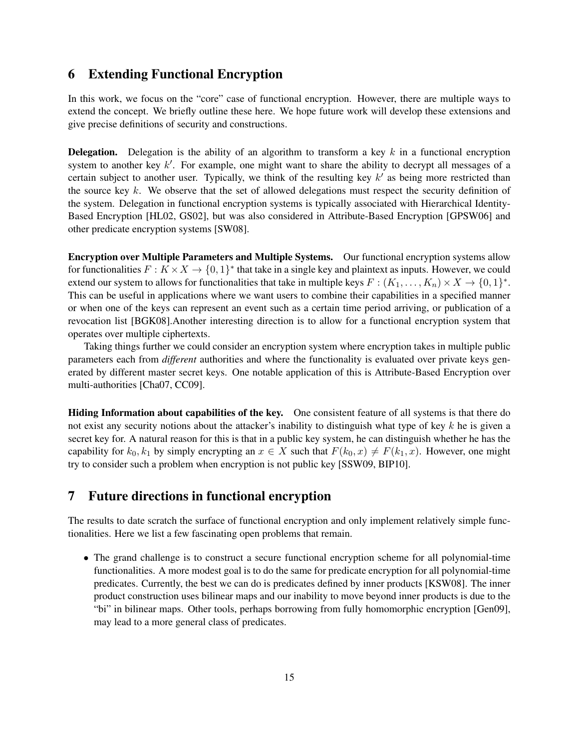## 6 Extending Functional Encryption

In this work, we focus on the "core" case of functional encryption. However, there are multiple ways to extend the concept. We briefly outline these here. We hope future work will develop these extensions and give precise definitions of security and constructions.

**Delegation.** Delegation is the ability of an algorithm to transform a key k in a functional encryption system to another key  $k'$ . For example, one might want to share the ability to decrypt all messages of a certain subject to another user. Typically, we think of the resulting key  $k'$  as being more restricted than the source key  $k$ . We observe that the set of allowed delegations must respect the security definition of the system. Delegation in functional encryption systems is typically associated with Hierarchical Identity-Based Encryption [\[HL02,](#page-18-14) [GS02\]](#page-18-15), but was also considered in Attribute-Based Encryption [\[GPSW06\]](#page-18-7) and other predicate encryption systems [\[SW08\]](#page-19-7).

Encryption over Multiple Parameters and Multiple Systems. Our functional encryption systems allow for functionalities  $F: K \times X \to \{0,1\}^*$  that take in a single key and plaintext as inputs. However, we could extend our system to allows for functionalities that take in multiple keys  $F : (K_1, \ldots, K_n) \times X \to \{0,1\}^*$ . This can be useful in applications where we want users to combine their capabilities in a specified manner or when one of the keys can represent an event such as a certain time period arriving, or publication of a revocation list [\[BGK08\]](#page-16-9).Another interesting direction is to allow for a functional encryption system that operates over multiple ciphertexts.

Taking things further we could consider an encryption system where encryption takes in multiple public parameters each from *different* authorities and where the functionality is evaluated over private keys generated by different master secret keys. One notable application of this is Attribute-Based Encryption over multi-authorities [\[Cha07,](#page-17-14) [CC09\]](#page-17-15).

Hiding Information about capabilities of the key. One consistent feature of all systems is that there do not exist any security notions about the attacker's inability to distinguish what type of key  $k$  he is given a secret key for. A natural reason for this is that in a public key system, he can distinguish whether he has the capability for  $k_0, k_1$  by simply encrypting an  $x \in X$  such that  $F(k_0, x) \neq F(k_1, x)$ . However, one might try to consider such a problem when encryption is not public key [\[SSW09,](#page-19-8) [BIP10\]](#page-16-10).

## 7 Future directions in functional encryption

The results to date scratch the surface of functional encryption and only implement relatively simple functionalities. Here we list a few fascinating open problems that remain.

• The grand challenge is to construct a secure functional encryption scheme for all polynomial-time functionalities. A more modest goal is to do the same for predicate encryption for all polynomial-time predicates. Currently, the best we can do is predicates defined by inner products [\[KSW08\]](#page-18-0). The inner product construction uses bilinear maps and our inability to move beyond inner products is due to the "bi" in bilinear maps. Other tools, perhaps borrowing from fully homomorphic encryption [\[Gen09\]](#page-17-16), may lead to a more general class of predicates.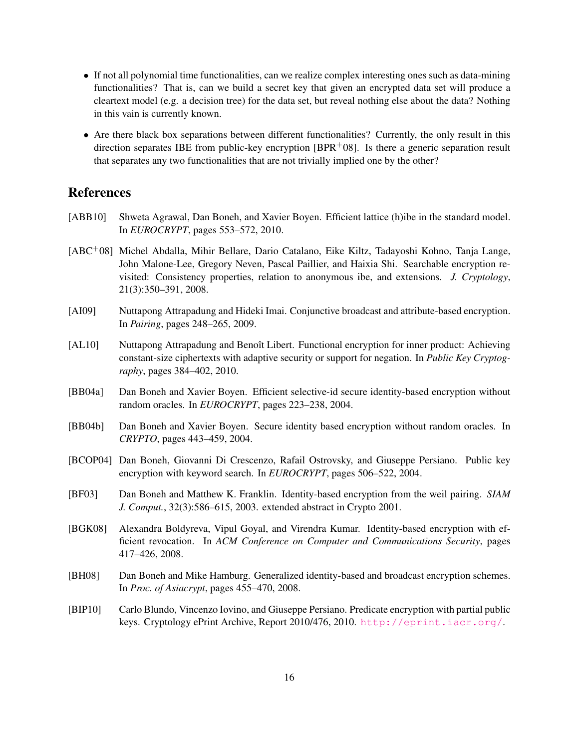- If not all polynomial time functionalities, can we realize complex interesting ones such as data-mining functionalities? That is, can we build a secret key that given an encrypted data set will produce a cleartext model (e.g. a decision tree) for the data set, but reveal nothing else about the data? Nothing in this vain is currently known.
- Are there black box separations between different functionalities? Currently, the only result in this direction separates IBE from public-key encryption  $IBPR<sup>+</sup>08$ ]. Is there a generic separation result that separates any two functionalities that are not trivially implied one by the other?

## References

- <span id="page-16-5"></span>[ABB10] Shweta Agrawal, Dan Boneh, and Xavier Boyen. Efficient lattice (h)ibe in the standard model. In *EUROCRYPT*, pages 553–572, 2010.
- <span id="page-16-6"></span>[ABC+08] Michel Abdalla, Mihir Bellare, Dario Catalano, Eike Kiltz, Tadayoshi Kohno, Tanja Lange, John Malone-Lee, Gregory Neven, Pascal Paillier, and Haixia Shi. Searchable encryption revisited: Consistency properties, relation to anonymous ibe, and extensions. *J. Cryptology*, 21(3):350–391, 2008.
- <span id="page-16-7"></span>[AI09] Nuttapong Attrapadung and Hideki Imai. Conjunctive broadcast and attribute-based encryption. In *Pairing*, pages 248–265, 2009.
- <span id="page-16-2"></span>[AL10] Nuttapong Attrapadung and Benoît Libert. Functional encryption for inner product: Achieving constant-size ciphertexts with adaptive security or support for negation. In *Public Key Cryptography*, pages 384–402, 2010.
- <span id="page-16-3"></span>[BB04a] Dan Boneh and Xavier Boyen. Efficient selective-id secure identity-based encryption without random oracles. In *EUROCRYPT*, pages 223–238, 2004.
- <span id="page-16-4"></span>[BB04b] Dan Boneh and Xavier Boyen. Secure identity based encryption without random oracles. In *CRYPTO*, pages 443–459, 2004.
- <span id="page-16-1"></span>[BCOP04] Dan Boneh, Giovanni Di Crescenzo, Rafail Ostrovsky, and Giuseppe Persiano. Public key encryption with keyword search. In *EUROCRYPT*, pages 506–522, 2004.
- <span id="page-16-0"></span>[BF03] Dan Boneh and Matthew K. Franklin. Identity-based encryption from the weil pairing. *SIAM J. Comput.*, 32(3):586–615, 2003. extended abstract in Crypto 2001.
- <span id="page-16-9"></span>[BGK08] Alexandra Boldyreva, Vipul Goyal, and Virendra Kumar. Identity-based encryption with efficient revocation. In *ACM Conference on Computer and Communications Security*, pages 417–426, 2008.
- <span id="page-16-8"></span>[BH08] Dan Boneh and Mike Hamburg. Generalized identity-based and broadcast encryption schemes. In *Proc. of Asiacrypt*, pages 455–470, 2008.
- <span id="page-16-10"></span>[BIP10] Carlo Blundo, Vincenzo Iovino, and Giuseppe Persiano. Predicate encryption with partial public keys. Cryptology ePrint Archive, Report 2010/476, 2010. <http://eprint.iacr.org/>.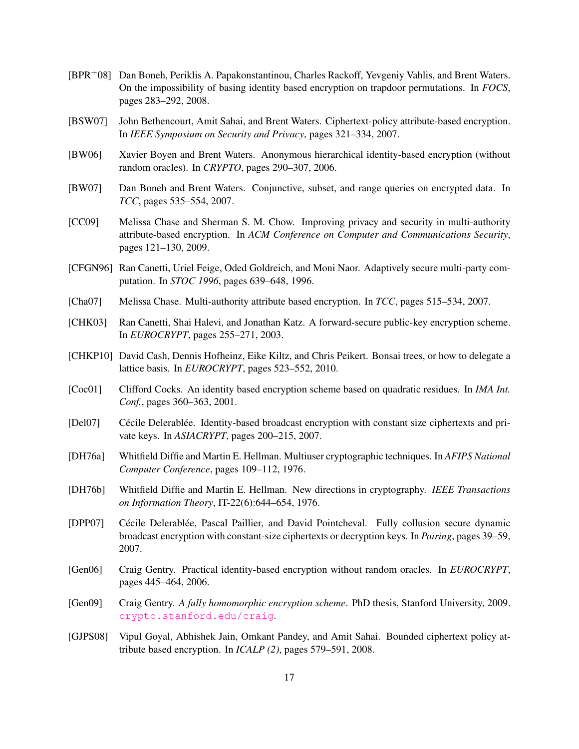- <span id="page-17-5"></span>[BPR+08] Dan Boneh, Periklis A. Papakonstantinou, Charles Rackoff, Yevgeniy Vahlis, and Brent Waters. On the impossibility of basing identity based encryption on trapdoor permutations. In *FOCS*, pages 283–292, 2008.
- <span id="page-17-9"></span>[BSW07] John Bethencourt, Amit Sahai, and Brent Waters. Ciphertext-policy attribute-based encryption. In *IEEE Symposium on Security and Privacy*, pages 321–334, 2007.
- <span id="page-17-11"></span>[BW06] Xavier Boyen and Brent Waters. Anonymous hierarchical identity-based encryption (without random oracles). In *CRYPTO*, pages 290–307, 2006.
- <span id="page-17-3"></span>[BW07] Dan Boneh and Brent Waters. Conjunctive, subset, and range queries on encrypted data. In *TCC*, pages 535–554, 2007.
- <span id="page-17-15"></span>[CC09] Melissa Chase and Sherman S. M. Chow. Improving privacy and security in multi-authority attribute-based encryption. In *ACM Conference on Computer and Communications Security*, pages 121–130, 2009.
- <span id="page-17-4"></span>[CFGN96] Ran Canetti, Uriel Feige, Oded Goldreich, and Moni Naor. Adaptively secure multi-party computation. In *STOC 1996*, pages 639–648, 1996.
- <span id="page-17-14"></span>[Cha07] Melissa Chase. Multi-authority attribute based encryption. In *TCC*, pages 515–534, 2007.
- <span id="page-17-6"></span>[CHK03] Ran Canetti, Shai Halevi, and Jonathan Katz. A forward-secure public-key encryption scheme. In *EUROCRYPT*, pages 255–271, 2003.
- <span id="page-17-8"></span>[CHKP10] David Cash, Dennis Hofheinz, Eike Kiltz, and Chris Peikert. Bonsai trees, or how to delegate a lattice basis. In *EUROCRYPT*, pages 523–552, 2010.
- <span id="page-17-2"></span>[Coc01] Clifford Cocks. An identity based encryption scheme based on quadratic residues. In *IMA Int. Conf.*, pages 360–363, 2001.
- <span id="page-17-12"></span>[Del07] Cécile Delerablée. Identity-based broadcast encryption with constant size ciphertexts and private keys. In *ASIACRYPT*, pages 200–215, 2007.
- <span id="page-17-0"></span>[DH76a] Whitfield Diffie and Martin E. Hellman. Multiuser cryptographic techniques. In *AFIPS National Computer Conference*, pages 109–112, 1976.
- <span id="page-17-1"></span>[DH76b] Whitfield Diffie and Martin E. Hellman. New directions in cryptography. *IEEE Transactions on Information Theory*, IT-22(6):644–654, 1976.
- <span id="page-17-13"></span>[DPP07] Cécile Delerablée, Pascal Paillier, and David Pointcheval. Fully collusion secure dynamic broadcast encryption with constant-size ciphertexts or decryption keys. In *Pairing*, pages 39–59, 2007.
- <span id="page-17-7"></span>[Gen06] Craig Gentry. Practical identity-based encryption without random oracles. In *EUROCRYPT*, pages 445–464, 2006.
- <span id="page-17-16"></span>[Gen09] Craig Gentry. *A fully homomorphic encryption scheme*. PhD thesis, Stanford University, 2009. <crypto.stanford.edu/craig>.
- <span id="page-17-10"></span>[GJPS08] Vipul Goyal, Abhishek Jain, Omkant Pandey, and Amit Sahai. Bounded ciphertext policy attribute based encryption. In *ICALP (2)*, pages 579–591, 2008.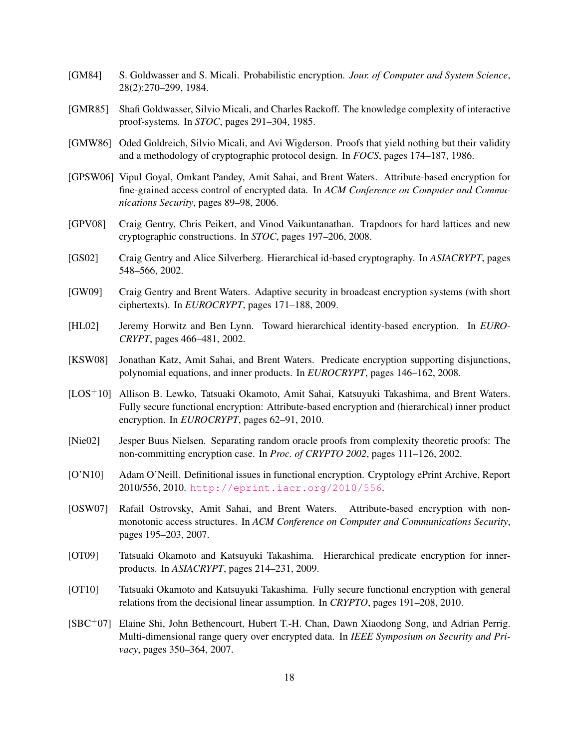- <span id="page-18-3"></span>[GM84] S. Goldwasser and S. Micali. Probabilistic encryption. *Jour. of Computer and System Science*, 28(2):270–299, 1984.
- <span id="page-18-12"></span>[GMR85] Shafi Goldwasser, Silvio Micali, and Charles Rackoff. The knowledge complexity of interactive proof-systems. In *STOC*, pages 291–304, 1985.
- <span id="page-18-13"></span>[GMW86] Oded Goldreich, Silvio Micali, and Avi Wigderson. Proofs that yield nothing but their validity and a methodology of cryptographic protocol design. In *FOCS*, pages 174–187, 1986.
- <span id="page-18-7"></span>[GPSW06] Vipul Goyal, Omkant Pandey, Amit Sahai, and Brent Waters. Attribute-based encryption for fine-grained access control of encrypted data. In *ACM Conference on Computer and Communications Security*, pages 89–98, 2006.
- <span id="page-18-6"></span>[GPV08] Craig Gentry, Chris Peikert, and Vinod Vaikuntanathan. Trapdoors for hard lattices and new cryptographic constructions. In *STOC*, pages 197–206, 2008.
- <span id="page-18-15"></span>[GS02] Craig Gentry and Alice Silverberg. Hierarchical id-based cryptography. In *ASIACRYPT*, pages 548–566, 2002.
- <span id="page-18-11"></span>[GW09] Craig Gentry and Brent Waters. Adaptive security in broadcast encryption systems (with short ciphertexts). In *EUROCRYPT*, pages 171–188, 2009.
- <span id="page-18-14"></span>[HL02] Jeremy Horwitz and Ben Lynn. Toward hierarchical identity-based encryption. In *EURO-CRYPT*, pages 466–481, 2002.
- <span id="page-18-0"></span>[KSW08] Jonathan Katz, Amit Sahai, and Brent Waters. Predicate encryption supporting disjunctions, polynomial equations, and inner products. In *EUROCRYPT*, pages 146–162, 2008.
- <span id="page-18-1"></span>[LOS+10] Allison B. Lewko, Tatsuaki Okamoto, Amit Sahai, Katsuyuki Takashima, and Brent Waters. Fully secure functional encryption: Attribute-based encryption and (hierarchical) inner product encryption. In *EUROCRYPT*, pages 62–91, 2010.
- <span id="page-18-4"></span>[Nie02] Jesper Buus Nielsen. Separating random oracle proofs from complexity theoretic proofs: The non-committing encryption case. In *Proc. of CRYPTO 2002*, pages 111–126, 2002.
- <span id="page-18-5"></span>[O'N10] Adam O'Neill. Definitional issues in functional encryption. Cryptology ePrint Archive, Report 2010/556, 2010. <http://eprint.iacr.org/2010/556>.
- <span id="page-18-8"></span>[OSW07] Rafail Ostrovsky, Amit Sahai, and Brent Waters. Attribute-based encryption with nonmonotonic access structures. In *ACM Conference on Computer and Communications Security*, pages 195–203, 2007.
- <span id="page-18-10"></span>[OT09] Tatsuaki Okamoto and Katsuyuki Takashima. Hierarchical predicate encryption for innerproducts. In *ASIACRYPT*, pages 214–231, 2009.
- <span id="page-18-2"></span>[OT10] Tatsuaki Okamoto and Katsuyuki Takashima. Fully secure functional encryption with general relations from the decisional linear assumption. In *CRYPTO*, pages 191–208, 2010.
- <span id="page-18-9"></span>[SBC+07] Elaine Shi, John Bethencourt, Hubert T.-H. Chan, Dawn Xiaodong Song, and Adrian Perrig. Multi-dimensional range query over encrypted data. In *IEEE Symposium on Security and Privacy*, pages 350–364, 2007.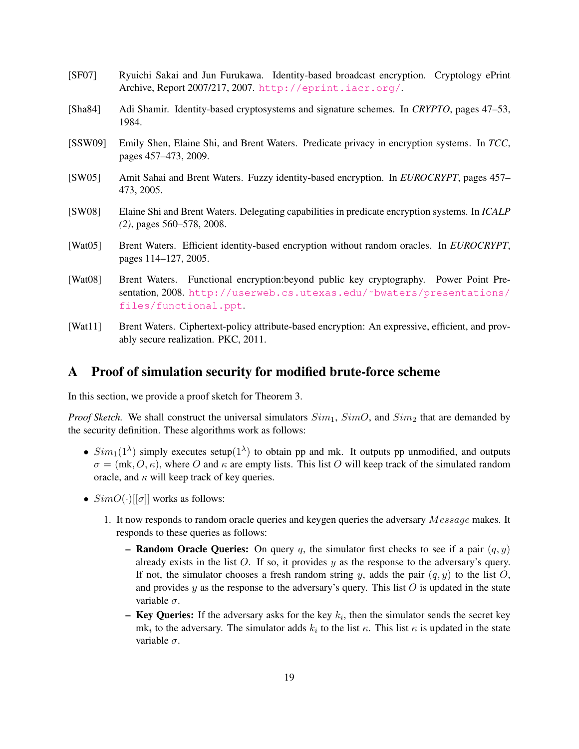<span id="page-19-5"></span>

| [SF07] |                                                          | Ryuichi Sakai and Jun Furukawa. Identity-based broadcast encryption. Cryptology ePrint |  |
|--------|----------------------------------------------------------|----------------------------------------------------------------------------------------|--|
|        | Archive, Report 2007/217, 2007. http://eprint.iacr.org/. |                                                                                        |  |

- <span id="page-19-0"></span>[Sha84] Adi Shamir. Identity-based cryptosystems and signature schemes. In *CRYPTO*, pages 47–53, 1984.
- <span id="page-19-8"></span>[SSW09] Emily Shen, Elaine Shi, and Brent Waters. Predicate privacy in encryption systems. In *TCC*, pages 457–473, 2009.
- <span id="page-19-1"></span>[SW05] Amit Sahai and Brent Waters. Fuzzy identity-based encryption. In *EUROCRYPT*, pages 457– 473, 2005.
- <span id="page-19-7"></span>[SW08] Elaine Shi and Brent Waters. Delegating capabilities in predicate encryption systems. In *ICALP (2)*, pages 560–578, 2008.
- <span id="page-19-3"></span>[Wat05] Brent Waters. Efficient identity-based encryption without random oracles. In *EUROCRYPT*, pages 114–127, 2005.
- <span id="page-19-2"></span>[Wat08] Brent Waters. Functional encryption:beyond public key cryptography. Power Point Presentation, 2008. http://userweb.cs.utexas.edu/~bwaters/presentations/ [files/functional.ppt](http://userweb.cs.utexas.edu/~bwaters/presentations/files/functional.ppt).
- <span id="page-19-4"></span>[Wat11] Brent Waters. Ciphertext-policy attribute-based encryption: An expressive, efficient, and provably secure realization. PKC, 2011.

## <span id="page-19-6"></span>A Proof of simulation security for modified brute-force scheme

In this section, we provide a proof sketch for Theorem [3.](#page-13-0)

*Proof Sketch.* We shall construct the universal simulators  $Sim_1$ ,  $SimO$ , and  $Sim_2$  that are demanded by the security definition. These algorithms work as follows:

- $Sim_1(1^{\lambda})$  simply executes setup $(1^{\lambda})$  to obtain pp and mk. It outputs pp unmodified, and outputs  $\sigma = (\text{mk}, O, \kappa)$ , where O and  $\kappa$  are empty lists. This list O will keep track of the simulated random oracle, and  $\kappa$  will keep track of key queries.
- $SimO(\cdot)$   $||\sigma||$  works as follows:
	- 1. It now responds to random oracle queries and keygen queries the adversary  $Message$  makes. It responds to these queries as follows:
		- Random Oracle Queries: On query q, the simulator first checks to see if a pair  $(q, y)$ already exists in the list  $O$ . If so, it provides  $y$  as the response to the adversary's query. If not, the simulator chooses a fresh random string y, adds the pair  $(q, y)$  to the list O, and provides y as the response to the adversary's query. This list  $O$  is updated in the state variable  $\sigma$ .
		- Key Queries: If the adversary asks for the key  $k_i$ , then the simulator sends the secret key mk<sub>i</sub> to the adversary. The simulator adds  $k_i$  to the list  $\kappa$ . This list  $\kappa$  is updated in the state variable  $\sigma$ .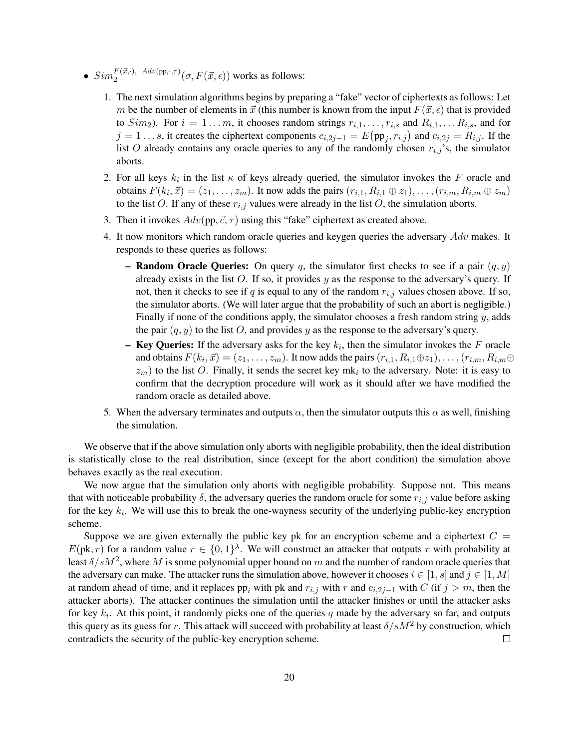- $Sim_2^{F(\vec{x},\cdot), \; Adv(pp,\cdot,\tau)}(\sigma, F(\vec{x}, \epsilon))$  works as follows:
	- 1. The next simulation algorithms begins by preparing a "fake" vector of ciphertexts as follows: Let m be the number of elements in  $\vec{x}$  (this number is known from the input  $F(\vec{x}, \epsilon)$  that is provided to  $Sim_2$ ). For  $i = 1 \ldots m$ , it chooses random strings  $r_{i,1}, \ldots, r_{i,s}$  and  $R_{i,1}, \ldots R_{i,s}$ , and for  $j = 1...s$ , it creates the ciphertext components  $c_{i,2j-1} = E(p_{p_j}, r_{i,j})$  and  $c_{i,2j} = R_{i,j}$ . If the list O already contains any oracle queries to any of the randomly chosen  $r_{i,j}$ 's, the simulator aborts.
	- 2. For all keys  $k_i$  in the list  $\kappa$  of keys already queried, the simulator invokes the F oracle and obtains  $F(k_i, \vec{x}) = (z_1, \ldots, z_m)$ . It now adds the pairs  $(r_{i,1}, R_{i,1} \oplus z_1), \ldots, (r_{i,m}, R_{i,m} \oplus z_m)$ to the list O. If any of these  $r_{i,j}$  values were already in the list O, the simulation aborts.
	- 3. Then it invokes  $Adv(pp, \vec{c}, \tau)$  using this "fake" ciphertext as created above.
	- 4. It now monitors which random oracle queries and keygen queries the adversary  $Adv$  makes. It responds to these queries as follows:
		- **Random Oracle Queries:** On query q, the simulator first checks to see if a pair  $(q, y)$ already exists in the list  $O$ . If so, it provides  $y$  as the response to the adversary's query. If not, then it checks to see if q is equal to any of the random  $r_{i,j}$  values chosen above. If so, the simulator aborts. (We will later argue that the probability of such an abort is negligible.) Finally if none of the conditions apply, the simulator chooses a fresh random string  $y$ , adds the pair  $(q, y)$  to the list O, and provides y as the response to the adversary's query.
		- Key Queries: If the adversary asks for the key  $k_i$ , then the simulator invokes the F oracle and obtains  $F(k_i, \vec{x}) = (z_1, \dots, z_m)$ . It now adds the pairs  $(r_{i,1}, R_{i,1} \oplus z_1), \dots, (r_{i,m}, R_{i,m} \oplus z_n)$  $(z_m)$  to the list O. Finally, it sends the secret key mk<sub>i</sub> to the adversary. Note: it is easy to confirm that the decryption procedure will work as it should after we have modified the random oracle as detailed above.
	- 5. When the adversary terminates and outputs  $\alpha$ , then the simulator outputs this  $\alpha$  as well, finishing the simulation.

We observe that if the above simulation only aborts with negligible probability, then the ideal distribution is statistically close to the real distribution, since (except for the abort condition) the simulation above behaves exactly as the real execution.

We now argue that the simulation only aborts with negligible probability. Suppose not. This means that with noticeable probability  $\delta$ , the adversary queries the random oracle for some  $r_{i,j}$  value before asking for the key  $k_i$ . We will use this to break the one-wayness security of the underlying public-key encryption scheme.

Suppose we are given externally the public key pk for an encryption scheme and a ciphertext  $C =$  $E(\text{pk}, r)$  for a random value  $r \in \{0, 1\}^{\lambda}$ . We will construct an attacker that outputs r with probability at least  $\delta/sM^2$ , where M is some polynomial upper bound on m and the number of random oracle queries that the adversary can make. The attacker runs the simulation above, however it chooses  $i \in [1, s]$  and  $j \in [1, M]$ at random ahead of time, and it replaces pp<sub>i</sub> with pk and  $r_{i,j}$  with r and  $c_{i,2j-1}$  with C (if  $j > m$ , then the attacker aborts). The attacker continues the simulation until the attacker finishes or until the attacker asks for key  $k_i$ . At this point, it randomly picks one of the queries q made by the adversary so far, and outputs this query as its guess for r. This attack will succeed with probability at least  $\delta/sM^2$  by construction, which contradicts the security of the public-key encryption scheme.  $\Box$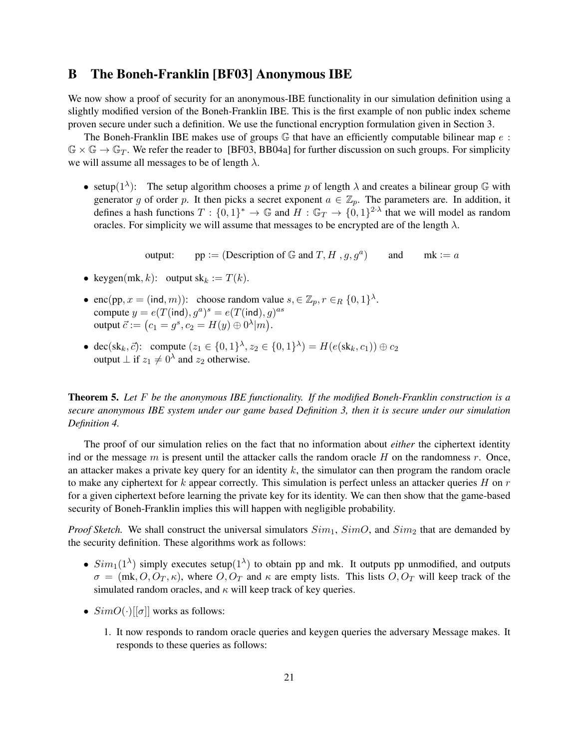## <span id="page-21-0"></span>B The Boneh-Franklin [\[BF03\]](#page-16-0) Anonymous IBE

We now show a proof of security for an anonymous-IBE functionality in our simulation definition using a slightly modified version of the Boneh-Franklin IBE. This is the first example of non public index scheme proven secure under such a definition. We use the functional encryption formulation given in Section [3.](#page-4-0)

The Boneh-Franklin IBE makes use of groups  $\mathbb G$  that have an efficiently computable bilinear map  $e$ :  $\mathbb{G} \times \mathbb{G} \to \mathbb{G}_T$ . We refer the reader to [\[BF03,](#page-16-0) [BB04a\]](#page-16-3) for further discussion on such groups. For simplicity we will assume all messages to be of length  $\lambda$ .

• setup( $1^{\lambda}$ ): The setup algorithm chooses a prime p of length  $\lambda$  and creates a bilinear group  $\mathbb{G}$  with generator g of order p. It then picks a secret exponent  $a \in \mathbb{Z}_p$ . The parameters are. In addition, it defines a hash functions  $T: \{0,1\}^* \to \mathbb{G}$  and  $H: \mathbb{G}_T \to \{0,1\}^{2\cdot \lambda}$  that we will model as random oracles. For simplicity we will assume that messages to be encrypted are of the length  $\lambda$ .

> output: pp := (Description of  $\mathbb G$  and  $T, H, g, g^a$ ) and  $mk := a$

- keygen(mk, k): output  $sk_k := T(k)$ .
- enc(pp,  $x = (ind, m)$ ): choose random value  $s \in \mathbb{Z}_p$ ,  $r \in_R \{0, 1\}^{\lambda}$ . compute  $y = e(T(\text{ind}), g^a)^s = e(T(\text{ind}), g)^{as}$ output  $\vec{c} := (c_1 = g^s, c_2 = H(y) \oplus 0^{\lambda} | m)$ .
- dec(sk<sub>k</sub>,  $\vec{c}$ ): compute  $(z_1 \in \{0, 1\}^{\lambda}, z_2 \in \{0, 1\}^{\lambda}) = H(e(\text{sk}_k, c_1)) \oplus c_2$ output  $\perp$  if  $z_1 \neq 0^{\lambda}$  and  $z_2$  otherwise.

Theorem 5. *Let* F *be the anonymous IBE functionality. If the modified Boneh-Franklin construction is a secure anonymous IBE system under our game based Definition [3,](#page-8-0) then it is secure under our simulation Definition [4.](#page-10-2)*

The proof of our simulation relies on the fact that no information about *either* the ciphertext identity ind or the message  $m$  is present until the attacker calls the random oracle  $H$  on the randomness  $r$ . Once, an attacker makes a private key query for an identity  $k$ , the simulator can then program the random oracle to make any ciphertext for  $k$  appear correctly. This simulation is perfect unless an attacker queries  $H$  on  $r$ for a given ciphertext before learning the private key for its identity. We can then show that the game-based security of Boneh-Franklin implies this will happen with negligible probability.

*Proof Sketch.* We shall construct the universal simulators  $Sim_1$ ,  $SimO$ , and  $Sim_2$  that are demanded by the security definition. These algorithms work as follows:

- $Sim_1(1^{\lambda})$  simply executes setup $(1^{\lambda})$  to obtain pp and mk. It outputs pp unmodified, and outputs  $\sigma = (\text{mk}, O, O_T, \kappa)$ , where  $O, O_T$  and  $\kappa$  are empty lists. This lists  $O, O_T$  will keep track of the simulated random oracles, and  $\kappa$  will keep track of key queries.
- $SimO(\cdot) \vert [\sigma] \vert$  works as follows:
	- 1. It now responds to random oracle queries and keygen queries the adversary Message makes. It responds to these queries as follows: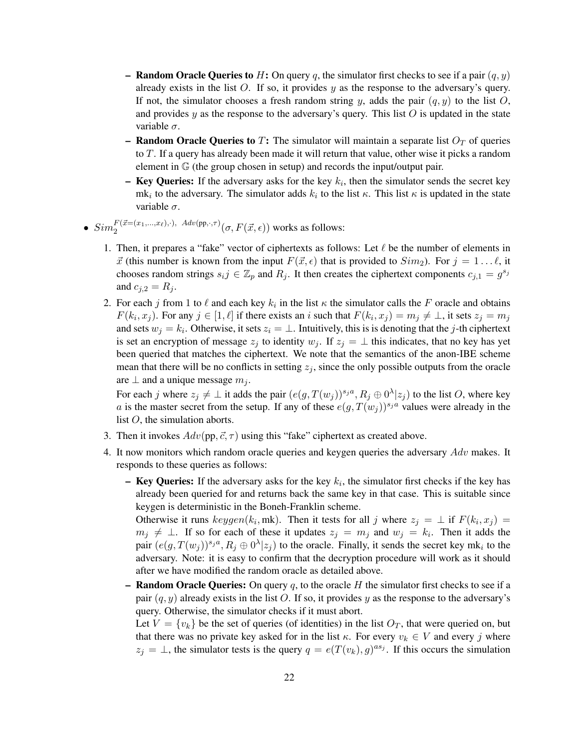- **Random Oracle Queries to** H: On query q, the simulator first checks to see if a pair  $(q, y)$ already exists in the list  $O$ . If so, it provides  $y$  as the response to the adversary's query. If not, the simulator chooses a fresh random string y, adds the pair  $(q, y)$  to the list O, and provides y as the response to the adversary's query. This list  $O$  is updated in the state variable  $\sigma$ .
- Random Oracle Queries to T: The simulator will maintain a separate list  $O<sub>T</sub>$  of queries to T. If a query has already been made it will return that value, other wise it picks a random element in G (the group chosen in setup) and records the input/output pair.
- Key Queries: If the adversary asks for the key  $k_i$ , then the simulator sends the secret key mk<sub>i</sub> to the adversary. The simulator adds  $k_i$  to the list  $\kappa$ . This list  $\kappa$  is updated in the state variable  $\sigma$ .
- $Sim_2^{F(\vec{x}=(x_1,...,x_\ell),\cdot)}$ ,  $Adv(pp,\cdot,\tau)}(\sigma, F(\vec{x}, \epsilon))$  works as follows:
	- 1. Then, it prepares a "fake" vector of ciphertexts as follows: Let  $\ell$  be the number of elements in  $\vec{x}$  (this number is known from the input  $F(\vec{x}, \epsilon)$  that is provided to  $Sim_2$ ). For  $j = 1 \dots \ell$ , it chooses random strings  $s_{i,j} \in \mathbb{Z}_p$  and  $R_j$ . It then creates the ciphertext components  $c_{j,1} = g^{s_j}$ and  $c_{i,2} = R_i$ .
	- 2. For each j from 1 to  $\ell$  and each key  $k_i$  in the list  $\kappa$  the simulator calls the F oracle and obtains  $F(k_i, x_j)$ . For any  $j \in [1, \ell]$  if there exists an i such that  $F(k_i, x_j) = m_j \neq \bot$ , it sets  $z_j = m_j$ and sets  $w_j = k_i$ . Otherwise, it sets  $z_i = \perp$ . Intuitively, this is is denoting that the j-th ciphertext is set an encryption of message  $z_j$  to identity  $w_j$ . If  $z_j = \perp$  this indicates, that no key has yet been queried that matches the ciphertext. We note that the semantics of the anon-IBE scheme mean that there will be no conflicts in setting  $z_j$ , since the only possible outputs from the oracle are  $\perp$  and a unique message  $m_i$ .

For each j where  $z_j \neq \bot$  it adds the pair  $(e(g, T(w_j))^{s_j a}, R_j \oplus 0^{\lambda} | z_j)$  to the list O, where key a is the master secret from the setup. If any of these  $e(g, T(w_j))^{s_j a}$  values were already in the list O, the simulation aborts.

- 3. Then it invokes  $Adv(pp, \vec{c}, \tau)$  using this "fake" ciphertext as created above.
- 4. It now monitors which random oracle queries and keygen queries the adversary  $Adv$  makes. It responds to these queries as follows:
	- Key Queries: If the adversary asks for the key  $k_i$ , the simulator first checks if the key has already been queried for and returns back the same key in that case. This is suitable since keygen is deterministic in the Boneh-Franklin scheme.

Otherwise it runs  $keygen(k_i, mk)$ . Then it tests for all j where  $z_j = \perp$  if  $F(k_i, x_j) =$  $m_j \neq \perp$ . If so for each of these it updates  $z_j = m_j$  and  $w_j = k_i$ . Then it adds the pair  $(e(g, T(w_j))^{s_j a}, R_j \oplus 0^{\lambda} | z_j)$  to the oracle. Finally, it sends the secret key mk<sub>i</sub> to the adversary. Note: it is easy to confirm that the decryption procedure will work as it should after we have modified the random oracle as detailed above.

– **Random Oracle Queries:** On query q, to the oracle H the simulator first checks to see if a pair  $(q, y)$  already exists in the list O. If so, it provides y as the response to the adversary's query. Otherwise, the simulator checks if it must abort.

Let  $V = \{v_k\}$  be the set of queries (of identities) in the list  $O_T$ , that were queried on, but that there was no private key asked for in the list  $\kappa$ . For every  $v_k \in V$  and every j where  $z_j = \perp$ , the simulator tests is the query  $q = e(T(v_k), g)^{as_j}$ . If this occurs the simulation